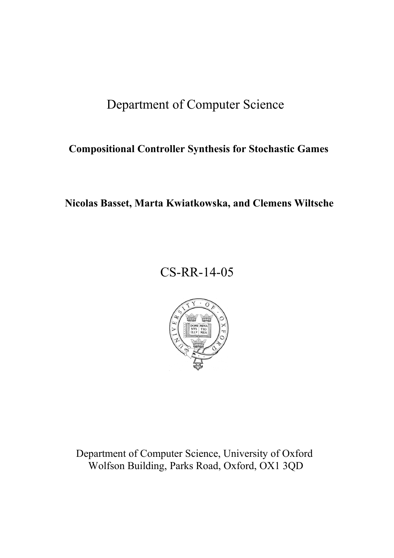# Department of Computer Science

## **Compositional Controller Synthesis for Stochastic Games**

## **Nicolas Basset, Marta Kwiatkowska, and Clemens Wiltsche**

# CS-RR-14-05



Department of Computer Science, University of Oxford Wolfson Building, Parks Road, Oxford, OX1 3QD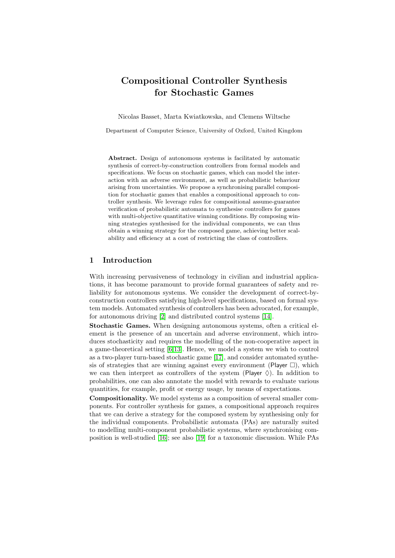## Compositional Controller Synthesis for Stochastic Games

Nicolas Basset, Marta Kwiatkowska, and Clemens Wiltsche

Department of Computer Science, University of Oxford, United Kingdom

Abstract. Design of autonomous systems is facilitated by automatic synthesis of correct-by-construction controllers from formal models and specifications. We focus on stochastic games, which can model the interaction with an adverse environment, as well as probabilistic behaviour arising from uncertainties. We propose a synchronising parallel composition for stochastic games that enables a compositional approach to controller synthesis. We leverage rules for compositional assume-guarantee verification of probabilistic automata to synthesise controllers for games with multi-objective quantitative winning conditions. By composing winning strategies synthesised for the individual components, we can thus obtain a winning strategy for the composed game, achieving better scalability and efficiency at a cost of restricting the class of controllers.

## 1 Introduction

With increasing pervasiveness of technology in civilian and industrial applications, it has become paramount to provide formal guarantees of safety and reliability for autonomous systems. We consider the development of correct-byconstruction controllers satisfying high-level specifications, based on formal system models. Automated synthesis of controllers has been advocated, for example, for autonomous driving [\[2\]](#page-15-0) and distributed control systems [\[14\]](#page-15-1).

Stochastic Games. When designing autonomous systems, often a critical element is the presence of an uncertain and adverse environment, which introduces stochasticity and requires the modelling of the non-cooperative aspect in a game-theoretical setting [\[6](#page-15-2)[,13\]](#page-15-3). Hence, we model a system we wish to control as a two-player turn-based stochastic game [\[17\]](#page-15-4), and consider automated synthesis of strategies that are winning against every environment (Player  $\square$ ), which we can then interpret as controllers of the system (Player  $\Diamond$ ). In addition to probabilities, one can also annotate the model with rewards to evaluate various quantities, for example, profit or energy usage, by means of expectations.

Compositionality. We model systems as a composition of several smaller components. For controller synthesis for games, a compositional approach requires that we can derive a strategy for the composed system by synthesising only for the individual components. Probabilistic automata (PAs) are naturally suited to modelling multi-component probabilistic systems, where synchronising composition is well-studied [\[16\]](#page-15-5); see also [\[19\]](#page-15-6) for a taxonomic discussion. While PAs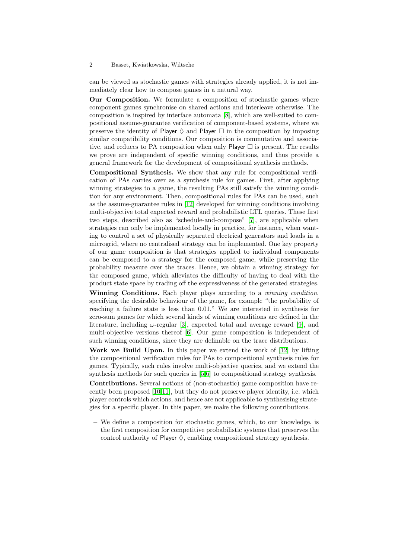can be viewed as stochastic games with strategies already applied, it is not immediately clear how to compose games in a natural way.

Our Composition. We formulate a composition of stochastic games where component games synchronise on shared actions and interleave otherwise. The composition is inspired by interface automata [\[8\]](#page-15-7), which are well-suited to compositional assume-guarantee verification of component-based systems, where we preserve the identity of Player  $\Diamond$  and Player  $\Box$  in the composition by imposing similar compatibility conditions. Our composition is commutative and associative, and reduces to PA composition when only Player  $\Box$  is present. The results we prove are independent of specific winning conditions, and thus provide a general framework for the development of compositional synthesis methods.

Compositional Synthesis. We show that any rule for compositional verification of PAs carries over as a synthesis rule for games. First, after applying winning strategies to a game, the resulting PAs still satisfy the winning condition for any environment. Then, compositional rules for PAs can be used, such as the assume-guarantee rules in [\[12\]](#page-15-8) developed for winning conditions involving multi-objective total expected reward and probabilistic LTL queries. These first two steps, described also as "schedule-and-compose" [\[7\]](#page-15-9), are applicable when strategies can only be implemented locally in practice, for instance, when wanting to control a set of physically separated electrical generators and loads in a microgrid, where no centralised strategy can be implemented. One key property of our game composition is that strategies applied to individual components can be composed to a strategy for the composed game, while preserving the probability measure over the traces. Hence, we obtain a winning strategy for the composed game, which alleviates the difficulty of having to deal with the product state space by trading off the expressiveness of the generated strategies.

Winning Conditions. Each player plays according to a *winning condition*, specifying the desirable behaviour of the game, for example "the probability of reaching a failure state is less than 0.01." We are interested in synthesis for zero-sum games for which several kinds of winning conditions are defined in the literature, including  $\omega$ -regular [\[3\]](#page-15-10), expected total and average reward [\[9\]](#page-15-11), and multi-objective versions thereof [\[6\]](#page-15-2). Our game composition is independent of such winning conditions, since they are definable on the trace distributions.

Work we Build Upon. In this paper we extend the work of [\[12\]](#page-15-8) by lifting the compositional verification rules for PAs to compositional synthesis rules for games. Typically, such rules involve multi-objective queries, and we extend the synthesis methods for such queries in [\[5,](#page-15-12)[6\]](#page-15-2) to compositional strategy synthesis.

Contributions. Several notions of (non-stochastic) game composition have recently been proposed [\[10,](#page-15-13)[11\]](#page-15-14), but they do not preserve player identity, i.e. which player controls which actions, and hence are not applicable to synthesising strategies for a specific player. In this paper, we make the following contributions.

– We define a composition for stochastic games, which, to our knowledge, is the first composition for competitive probabilistic systems that preserves the control authority of Player  $\Diamond$ , enabling compositional strategy synthesis.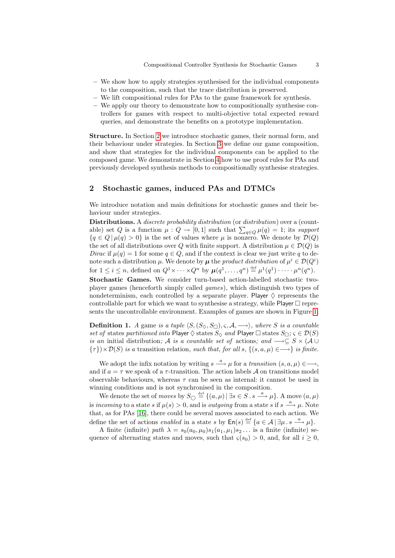- We show how to apply strategies synthesised for the individual components to the composition, such that the trace distribution is preserved.
- We lift compositional rules for PAs to the game framework for synthesis.
- We apply our theory to demonstrate how to compositionally synthesise controllers for games with respect to multi-objective total expected reward queries, and demonstrate the benefits on a prototype implementation.

Structure. In Section [2](#page-3-0) we introduce stochastic games, their normal form, and their behaviour under strategies. In Section [3](#page-7-0) we define our game composition, and show that strategies for the individual components can be applied to the composed game. We demonstrate in Section [4](#page-10-0) how to use proof rules for PAs and previously developed synthesis methods to compositionally synthesise strategies.

## <span id="page-3-0"></span>2 Stochastic games, induced PAs and DTMCs

We introduce notation and main definitions for stochastic games and their behaviour under strategies.

Distributions. A discrete probability distribution (or distribution) over a (countable) set Q is a function  $\mu: Q \to [0,1]$  such that  $\sum_{q \in Q} \mu(q) = 1$ ; its support  ${q \in Q \mid \mu(q) > 0}$  is the set of values where  $\mu$  is nonzero. We denote by  $\mathcal{D}(Q)$ the set of all distributions over Q with finite support. A distribution  $\mu \in \mathcal{D}(Q)$  is Dirac if  $\mu(q) = 1$  for some  $q \in Q$ , and if the context is clear we just write q to denote such a distribution  $\mu$ . We denote by  $\mu$  the product distribution of  $\mu^{i} \in \mathcal{D}(Q^{i})$ for  $1 \leq i \leq n$ , defined on  $Q^1 \times \cdots \times Q^n$  by  $\mu(q^1, \ldots, q^n) \stackrel{\text{def}}{=} \mu^1(q^1) \cdot \cdots \cdot \mu^n(q^n)$ .

Stochastic Games. We consider turn-based action-labelled stochastic twoplayer games (henceforth simply called games), which distinguish two types of nondeterminism, each controlled by a separate player. Player  $\diamond$  represents the controllable part for which we want to synthesise a strategy, while Player  $\Box$  represents the uncontrollable environment. Examples of games are shown in Figure [1.](#page-4-0)

<span id="page-3-1"></span>**Definition 1.** A game is a tuple  $\langle S, (S_{\Diamond}, S_{\Box}), \varsigma, \mathcal{A}, \longrightarrow \rangle$ , where S is a countable set of states partitioned into Player  $\Diamond$  states  $S_{\Diamond}$  and Player  $\Box$  states  $S_{\Box}; \varsigma \in \mathcal{D}(S)$ is an initial distribution; A is a countable set of actions; and  $\longrightarrow \subseteq S \times (A \cup$  ${\lbrace \tau \rbrace \times \mathcal{D}(S)$  is a transition relation, such that, for all s,  ${\lbrace (s, a, \mu) \in \longrightarrow \rbrace}$  is finite.

We adopt the infix notation by writing  $s \stackrel{a}{\longrightarrow} \mu$  for a transition  $(s, a, \mu) \in \longrightarrow$ , and if  $a = \tau$  we speak of a  $\tau$ -transition. The action labels A on transitions model observable behaviours, whereas  $\tau$  can be seen as internal: it cannot be used in winning conditions and is not synchronised in the composition.

We denote the set of *moves* by  $S_{\bigcirc} \stackrel{\text{def}}{=} \{(a,\mu) \mid \exists s \in S \, . \, s \stackrel{a}{\longrightarrow} \mu\}.$  A move  $(a,\mu)$ is incoming to a state s if  $\mu(s) > 0$ , and is outgoing from a state s if  $s \stackrel{a}{\longrightarrow} \mu$ . Note that, as for PAs [\[16\]](#page-15-5), there could be several moves associated to each action. We define the set of actions *enabled* in a state s by  $\mathsf{En}(s) \stackrel{\text{def}}{=} \{a \in \mathcal{A} \mid \exists \mu \cdot s \stackrel{a}{\longrightarrow} \mu\}.$ 

A finite (infinite) path  $\lambda = s_0(a_0, \mu_0)s_1(a_1, \mu_1)s_2...$  is a finite (infinite) sequence of alternating states and moves, such that  $\varsigma(s_0) > 0$ , and, for all  $i \geq 0$ ,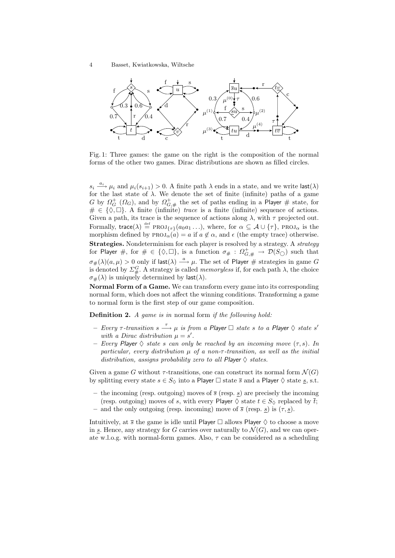

<span id="page-4-0"></span>Fig. 1: Three games: the game on the right is the composition of the normal forms of the other two games. Dirac distributions are shown as filled circles.

 $s_i \stackrel{a_i}{\longrightarrow} \mu_i$  and  $\mu_i(s_{i+1}) > 0$ . A finite path  $\lambda$  ends in a state, and we write  $\textsf{last}(\lambda)$ for the last state of  $\lambda$ . We denote the set of finite (infinite) paths of a game G by  $\Omega_G^+$  ( $\Omega_G$ ), and by  $\Omega_{G,\#}^+$  the set of paths ending in a Player  $\#$  state, for  $\# \in \{\Diamond, \Box\}.$  A finite (infinite) trace is a finite (infinite) sequence of actions. Given a path, its trace is the sequence of actions along  $\lambda$ , with  $\tau$  projected out. Formally, trace( $\lambda$ )  $\stackrel{\text{def}}{=} \text{PROJ}_{\{\tau\}}(a_0a_1\ldots)$ , where, for  $\alpha \subseteq \mathcal{A} \cup \{\tau\}$ , PROJ $_{\alpha}$  is the morphism defined by  $PROJ_{\alpha}(a) = a$  if  $a \notin \alpha$ , and  $\epsilon$  (the empty trace) otherwise. **Strategies.** Nondeterminism for each player is resolved by a strategy. A *strategy* for Player #, for  $\# \in {\{\Diamond,\Box\}}$ , is a function  $\sigma_{\#} : \Omega_{G,\#}^+ \to \mathcal{D}(S_{\bigcirc})$  such that  $\sigma_\#(\lambda)(a,\mu) > 0$  only if last $(\lambda) \stackrel{a}{\longrightarrow} \mu$ . The set of Player # strategies in game G is denoted by  $\Sigma_{\#}^G$ . A strategy is called *memoryless* if, for each path  $\lambda$ , the choice  $\sigma_{\#}(\lambda)$  is uniquely determined by last( $\lambda$ ).

Normal Form of a Game. We can transform every game into its corresponding normal form, which does not affect the winning conditions. Transforming a game to normal form is the first step of our game composition.

Definition 2. A game is in normal form if the following hold:

- Every  $\tau$ -transition  $s \stackrel{\tau}{\longrightarrow} \mu$  is from a Player  $\Box$  state s to a Player  $\Diamond$  state s' with a Dirac distribution  $\mu = s'$ .
- Every Player  $\Diamond$  state s can only be reached by an incoming move  $(\tau, s)$ . In particular, every distribution  $\mu$  of a non- $\tau$ -transition, as well as the initial distribution, assigns probability zero to all Player  $\Diamond$  states.

Given a game G without  $\tau$ -transitions, one can construct its normal form  $\mathcal{N}(G)$ by splitting every state  $s \in S_{\lozenge}$  into a Player  $\square$  state  $\overline{s}$  and a Player  $\lozenge$  state  $\underline{s}$ , s.t.

– the incoming (resp. outgoing) moves of  $\bar{s}$  (resp.  $\bar{s}$ ) are precisely the incoming (resp. outgoing) moves of s, with every Player  $\Diamond$  state  $t \in S_{\Diamond}$  replaced by  $\overline{t}$ ; and the only outgoing (resp. incoming) move of  $\bar{s}$  (resp.  $\underline{s}$ ) is  $(\tau, \underline{s})$ .

Intuitively, at  $\overline{s}$  the game is idle until Player  $\Box$  allows Player  $\Diamond$  to choose a move in  $\underline{s}$ . Hence, any strategy for G carries over naturally to  $\mathcal{N}(G)$ , and we can operate w.l.o.g. with normal-form games. Also,  $\tau$  can be considered as a scheduling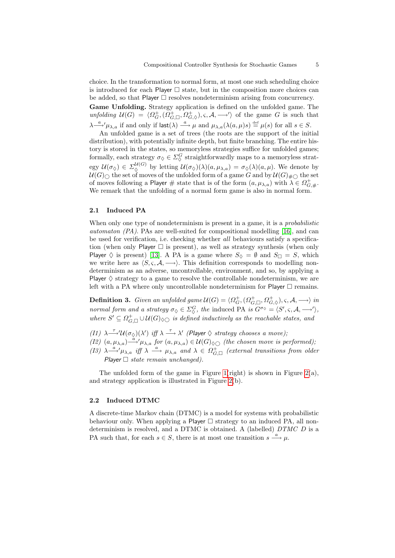choice. In the transformation to normal form, at most one such scheduling choice is introduced for each Player  $\Box$  state, but in the composition more choices can be added, so that Player  $\Box$  resolves nondeterminism arising from concurrency. Game Unfolding. Strategy application is defined on the unfolded game. The unfolding  $\mathcal{U}(G) = \langle \Omega_G^+, (\Omega_{G,\Box}^+, \Omega_{G,\Diamond}^+), \varsigma, \mathcal{A}, \longrightarrow \rangle$  of the game G is such that  $\lambda \stackrel{a}{\longrightarrow} \mu_{\lambda,a}$  if and only if  $\mathsf{last}(\lambda) \stackrel{a}{\longrightarrow} \mu$  and  $\mu_{\lambda,a}(\lambda(a,\mu)s) \stackrel{\text{def}}{=} \mu(s)$  for all  $s \in S$ .

An unfolded game is a set of trees (the roots are the support of the initial distribution), with potentially infinite depth, but finite branching. The entire history is stored in the states, so memoryless strategies suffice for unfolded games; formally, each strategy  $\sigma_{\Diamond} \in \Sigma_{\Diamond}^G$  straightforwardly maps to a memoryless strategy  $\mathcal{U}(\sigma_{\Diamond}) \in \Sigma_{\Diamond}^{\mathcal{U}(G)}$  by letting  $\mathcal{U}(\sigma_{\Diamond})(\lambda)(a,\mu_{\lambda,a}) = \sigma_{\Diamond}(\lambda)(a,\mu)$ . We denote by  $\mathcal{U}(G)_{\bigcirc}$  the set of moves of the unfolded form of a game  $G$  and by  $\mathcal{U}(G)_{\# \bigcirc}$  the set of moves following a Player # state that is of the form  $(a, \mu_{\lambda,a})$  with  $\lambda \in \Omega_{G,\#}^+$ . We remark that the unfolding of a normal form game is also in normal form.

#### 2.1 Induced PA

When only one type of nondeterminism is present in a game, it is a *probabilistic automaton (PA)*. PAs are well-suited for compositional modelling [\[16\]](#page-15-5), and can be used for verification, i.e. checking whether all behaviours satisfy a specification (when only Player  $\square$  is present), as well as strategy synthesis (when only Player  $\Diamond$  is present) [\[13\]](#page-15-3). A PA is a game where  $S_{\Diamond} = \emptyset$  and  $S_{\Box} = S$ , which we write here as  $\langle S, \varsigma, \mathcal{A}, \longrightarrow \rangle$ . This definition corresponds to modelling nondeterminism as an adverse, uncontrollable, environment, and so, by applying a Player  $\diamond$  strategy to a game to resolve the controllable nondeterminism, we are left with a PA where only uncontrollable nondeterminism for Player  $\Box$  remains.

<span id="page-5-0"></span>**Definition 3.** Given an unfolded game  $\mathcal{U}(G) = \langle \Omega_G^+, (\Omega_{G,\Box}^+, \Omega_{G,\Diamond}^+), \varsigma, \mathcal{A}, \longrightarrow \rangle$  in normal form and a strategy  $\sigma_{\Diamond} \in \Sigma^G_{\Diamond}$ , the induced PA is  $G^{\sigma_{\Diamond}} = \langle S', \varsigma, A, \longrightarrow' \rangle$ , where  $S' \subseteq \Omega_{G,\square}^+ \cup \mathcal{U}(G)_{\Diamond \bigcirc}$  is defined inductively as the reachable states, and

- <span id="page-5-1"></span>(I1)  $\lambda \rightarrow \mathcal{U}(\sigma_{\Diamond})(\lambda')$  iff  $\lambda \rightarrow \lambda'$  (Player  $\Diamond$  strategy chooses a move);
- <span id="page-5-2"></span>(I2)  $(a, \mu_{\lambda,a}) \stackrel{a}{\longrightarrow} \mu_{\lambda,a}$  for  $(a, \mu_{\lambda,a}) \in \mathcal{U}(G)_{\Diamond\bigcirc}$  (the chosen move is performed);
- <span id="page-5-3"></span>(I3)  $\lambda \stackrel{a}{\longrightarrow} \mu_{\lambda,a}$  iff  $\lambda \stackrel{a}{\longrightarrow} \mu_{\lambda,a}$  and  $\lambda \in \Omega_{G,\square}^+$  (external transitions from older Player  $\Box$  state remain unchanged).

The unfolded form of the game in Figure [1\(](#page-4-0)right) is shown in Figure  $2(a)$ , and strategy application is illustrated in Figure [2\(](#page-6-0)b).

#### 2.2 Induced DTMC

A discrete-time Markov chain (DTMC) is a model for systems with probabilistic behaviour only. When applying a Player  $\Box$  strategy to an induced PA, all nondeterminism is resolved, and a DTMC is obtained. A (labelled)  $DTMC$   $D$  is a PA such that, for each  $s \in S$ , there is at most one transition  $s \stackrel{a}{\longrightarrow} \mu$ .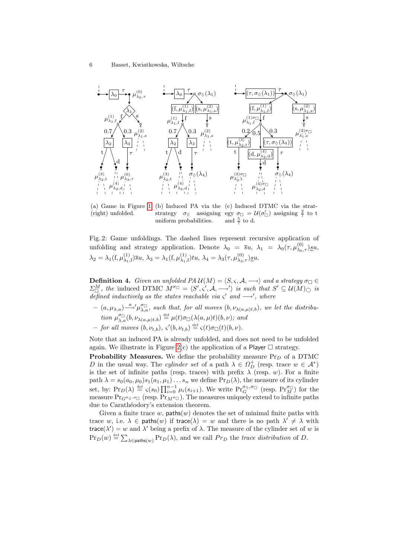

(right) unfolded.

(a) Game in Figure [1](#page-4-0) (b) Induced PA via the (c) Induced DTMC via the stratstrategy  $\sigma_{\lozenge}$  assigning egy  $\sigma_{\square} = \mathcal{U}(\sigma'_{\square})$  assigning  $\frac{2}{7}$  to t uniform probabilities. and  $\frac{5}{7}$  to d.

<span id="page-6-0"></span>Fig. 2: Game unfoldings. The dashed lines represent recursive application of unfolding and strategy application. Denote  $\lambda_0 = \bar{s}u$ ,  $\lambda_1 = \lambda_0(\tau, \mu_{\lambda_0,\tau}^{(0)})\underline{s}u$ ,  $\lambda_2 = \lambda_1(f, \mu_{\lambda_1}^{(1)})$  $\lambda_{\lambda_1,\text{f}}^{(1)}$ ) $\overline{s}u, \lambda_3 = \lambda_1(\text{f}, \mu_{\lambda_1,\text{f}}^{(1)})$  $\lambda_{\lambda_1,\text{f}}^{(1)}$ )tu,  $\lambda_4 = \lambda_3(\tau,\mu_{\lambda_3,\tau}^{(0)})\underline{su}.$ 

**Definition 4.** Given an unfolded PA  $\mathcal{U}(M) = \langle S, \varsigma, \mathcal{A}, \longrightarrow \rangle$  and a strategy  $\sigma_{\Box} \in$  $\Sigma^M_{\square}$ , the induced DTMC  $M^{\sigma_{\square}} = \langle S', \varsigma', A, \longrightarrow' \rangle$  is such that  $S' \subseteq \mathcal{U}(M)_{\square}$  is defined inductively as the states reachable via  $\zeta'$  and  $\longrightarrow'$ , where

 $(a, \mu_{\lambda,a}) \stackrel{a}{\longrightarrow} \mu_{\lambda,a}^{\sigma\Box}$ , such that, for all moves  $(b, \nu_{\lambda(a,\mu)t,b})$ , we let the distribution  $\mu_{\lambda,a}^{\sigma \square}(b,\nu_{\lambda(a,\mu)t,b}) \stackrel{\text{def}}{=} \mu(t)\sigma_{\square}(\lambda(a,\mu)t)(b,\nu);$  and - for all moves  $(b, \nu_{t,b}), \zeta'(b, \nu_{t,b}) \stackrel{\text{def}}{=} \zeta(t)\sigma_{\square}(t)(b, \nu).$ 

Note that an induced PA is already unfolded, and does not need to be unfolded again. We illustrate in Figure [2\(](#page-6-0)c) the application of a Player  $\Box$  strategy.

**Probability Measures.** We define the probability measure  $Pr_D$  of a DTMC D in the usual way. The *cylinder set* of a path  $\lambda \in \Omega_D^+$  (resp. trace  $w \in \mathcal{A}^*$ ) is the set of infinite paths (resp. traces) with prefix  $\lambda$  (resp. w). For a finite path  $\lambda = s_0(a_0, \mu_0)s_1(a_1, \mu_1)\dots s_n$  we define  $Pr_D(\lambda)$ , the measure of its cylinder set, by:  $Pr_D(\lambda) \stackrel{\text{def}}{=} \varsigma(s_0) \prod_{i=0}^{n-1} \mu_i(s_{i+1})$ . We write  $Pr_G^{\sigma_{\diamond}, \sigma_{\Box}}$  (resp.  $Pr_M^{\sigma_{\Box}}$ ) for the measure  $\Pr_{G^{\sigma_{\Diamond}},\sigma_{\Box}}$  (resp.  $\Pr_{M^{\sigma_{\Box}}})$ . The measures uniquely extend to infinite paths due to Carathéodory's extension theorem.

Given a finite trace  $w$ ,  $\mathsf{paths}(w)$  denotes the set of minimal finite paths with trace w, i.e.  $\lambda \in \text{paths}(w)$  if trace( $\lambda$ ) = w and there is no path  $\lambda' \neq \lambda$  with trace( $\lambda'$ ) = w and  $\lambda'$  being a prefix of  $\lambda$ . The measure of the cylinder set of w is  $\Pr_D(w) \stackrel{\text{def}}{=} \sum_{\lambda \in \text{paths}(w)} \Pr_D(\lambda)$ , and we call  $Pr_D$  the trace distribution of D.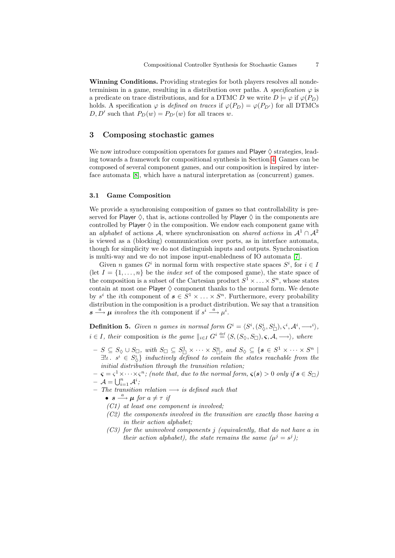Winning Conditions. Providing strategies for both players resolves all nondeterminism in a game, resulting in a distribution over paths. A specification  $\varphi$  is a predicate on trace distributions, and for a DTMC D we write  $D \models \varphi$  if  $\varphi(P_D)$ holds. A specification  $\varphi$  is defined on traces if  $\varphi(P_D) = \varphi(P_{D'})$  for all DTMCs  $D, D'$  such that  $P_D(w) = P_{D'}(w)$  for all traces w.

## <span id="page-7-0"></span>3 Composing stochastic games

We now introduce composition operators for games and Player  $\diamond$  strategies, leading towards a framework for compositional synthesis in Section [4.](#page-10-0) Games can be composed of several component games, and our composition is inspired by interface automata [\[8\]](#page-15-7), which have a natural interpretation as (concurrent) games.

#### 3.1 Game Composition

We provide a synchronising composition of games so that controllability is preserved for Player  $\Diamond$ , that is, actions controlled by Player  $\Diamond$  in the components are controlled by Player  $\Diamond$  in the composition. We endow each component game with an alphabet of actions A, where synchronisation on shared actions in  $\mathcal{A}^1 \cap \mathcal{A}^2$ is viewed as a (blocking) communication over ports, as in interface automata, though for simplicity we do not distinguish inputs and outputs. Synchronisation is multi-way and we do not impose input-enabledness of IO automata [\[7\]](#page-15-9).

Given *n* games  $G^i$  in normal form with respective state spaces  $S^i$ , for  $i \in I$ (let  $I = \{1, \ldots, n\}$  be the *index set* of the composed game), the state space of the composition is a subset of the Cartesian product  $S^1 \times \ldots \times S^n$ , whose states contain at most one Player  $\Diamond$  component thanks to the normal form. We denote by  $s^i$  the *i*th component of  $s \in S^1 \times \ldots \times S^n$ . Furthermore, every probability distribution in the composition is a product distribution. We say that a transition  $s \stackrel{a}{\longrightarrow} \mu$  involves the ith component if  $s^i \stackrel{a}{\longrightarrow} \mu^i$ .

<span id="page-7-1"></span>**Definition 5.** Given n games in normal form  $G^i = \langle S^i, (S^i_{\diamondsuit}, S^i_{\square}), \varsigma^i, \mathcal{A}^i, \longrightarrow^i \rangle$ ,  $i \in I$ , their composition is the game  $\|_{i \in I} G^i \stackrel{\text{def}}{=} \langle S, (S_{\Diamond}, S_{\Box}), \varsigma, \mathcal{A}, \longrightarrow \rangle$ , where

- $-S \subseteq S_{\Diamond} \cup S_{\Box}$ , with  $S_{\Box} \subseteq S_{\Box}^1 \times \cdots \times S_{\Box}^n$ , and  $S_{\Diamond} \subseteq \{s \in S^1 \times \cdots \times S^n \mid s \in S^1 \times \cdots \times S^n\}$  $\exists ! \iota \,.\, s^{\iota} \in S_{\lozenge}^{\iota}$  inductively defined to contain the states reachable from the initial distribution through the transition relation;
- $\mathbf{r}-\boldsymbol{\varsigma}=\varsigma^1\times\cdots\times\varsigma^n;$  (note that, due to the normal form,  $\boldsymbol{\varsigma}(\boldsymbol{s})>0$  only if  $\boldsymbol{s}\in S_{\square}$ )  $\mathcal{A} = \bigcup_{i=1}^n \mathcal{A}^i;$
- <span id="page-7-3"></span><span id="page-7-2"></span>– The transition relation  $\longrightarrow$  is defined such that
	- $s \stackrel{a}{\longrightarrow} \mu$  for  $a \neq \tau$  if
	- $(C1)$  at least one component is involved;
	- $(C2)$  the components involved in the transition are exactly those having a in their action alphabet;
	- $(C3)$  for the uninvolved components j (equivalently, that do not have a in their action alphabet), the state remains the same  $(\mu^{j} = s^{j})$ ;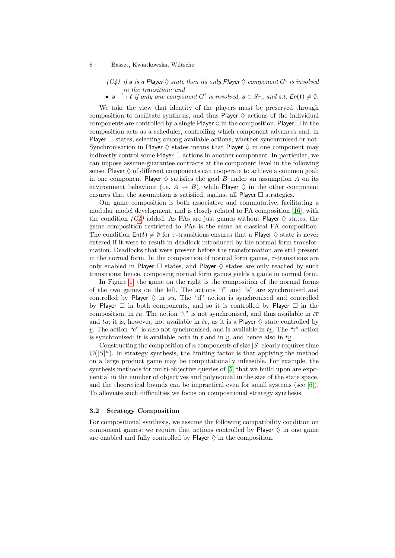- <span id="page-8-0"></span>(C4) if s is a Player  $\Diamond$  state then its only Player  $\Diamond$  component  $G^{\iota}$  is involved in the transition; and
- $s \stackrel{\tau}{\longrightarrow} t$  if only one component  $G^i$  is involved,  $s \in S_{\Box}$ , and s.t.  $En(t) \neq \emptyset$ .

We take the view that identity of the players must be preserved through composition to facilitate synthesis, and thus Player  $\diamond$  actions of the individual components are controlled by a single Player  $\Diamond$  in the composition. Player  $\Box$  in the composition acts as a scheduler, controlling which component advances and, in Player  $\square$  states, selecting among available actions, whether synchronised or not. Synchronisation in Player  $\diamondsuit$  states means that Player  $\diamondsuit$  in one component may indirectly control some Player  $\Box$  actions in another component. In particular, we can impose assume-guarantee contracts at the component level in the following sense. Player  $\diamondsuit$  of different components can cooperate to achieve a common goal: in one component Player  $\Diamond$  satisfies the goal B under an assumption A on its environment behaviour (i.e.  $A \rightarrow B$ ), while Player  $\Diamond$  in the other component ensures that the assumption is satisfied, against all Player  $\Box$  strategies.

Our game composition is both associative and commutative, facilitating a modular model development, and is closely related to PA composition [\[16\]](#page-15-5), with the condition  $(C_4)$  added. As PAs are just games without Player  $\diamond$  states, the game composition restricted to PAs is the same as classical PA composition. The condition  $\text{En}(t) \neq \emptyset$  for  $\tau$ -transitions ensures that a Player  $\diamondsuit$  state is never entered if it were to result in deadlock introduced by the normal form transformation. Deadlocks that were present before the transformation are still present in the normal form. In the composition of normal form games,  $\tau$ -transitions are only enabled in Player  $\Box$  states, and Player  $\Diamond$  states are only reached by such transitions; hence, composing normal form games yields a game in normal form.

In Figure [1,](#page-4-0) the game on the right is the composition of the normal forms of the two games on the left. The actions "f" and "s" are synchronised and controlled by Player  $\Diamond$  in *su*. The "d" action is synchronised and controlled by Player  $\Box$  in both components, and so it is controlled by Player  $\Box$  in the composition, in tu. The action "t" is not synchronised, and thus available in  $t\overline{v}$ and tu; it is, however, not available in  $tv$ , as it is a Player  $\diamond$  state controlled by  $\underline{v}$ . The action "c" is also not synchronised, and is available in  $t\underline{v}$ . The "r" action is synchronised; it is available both in  $t$  and in  $v$ , and hence also in  $tv$ .

Constructing the composition of n components of size  $|S|$  clearly requires time  $\mathcal{O}(|S|^n)$ . In strategy synthesis, the limiting factor is that applying the method on a large product game may be computationally infeasible. For example, the synthesis methods for multi-objective queries of [\[5\]](#page-15-12) that we build upon are exponential in the number of objectives and polynomial in the size of the state space, and the theoretical bounds can be impractical even for small systems (see [\[6\]](#page-15-2)). To alleviate such difficulties we focus on compositional strategy synthesis.

#### 3.2 Strategy Composition

<span id="page-8-1"></span>For compositional synthesis, we assume the following compatibility condition on component games: we require that actions controlled by Player  $\Diamond$  in one game are enabled and fully controlled by Player  $\diamond$  in the composition.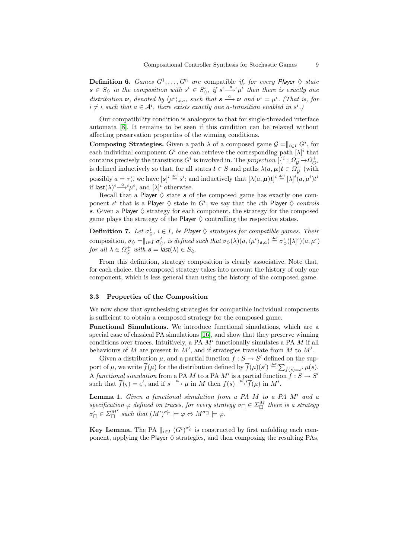**Definition 6.** Games  $G^1, \ldots, G^n$  are compatible if, for every Player  $\diamondsuit$  state  $s \in S_{\lozenge}$  in the composition with  $s^{\iota} \in S_{\lozenge}^{\iota}$ , if  $s^{\iota} \stackrel{a}{\longrightarrow}^{\iota} \mu^{\iota}$  then there is exactly one distribution  $\nu$ , denoted by  $\langle \mu^{\iota} \rangle_{s,a}$ , such that  $s \stackrel{a}{\longrightarrow} \nu$  and  $\nu^{\iota} = \mu^{\iota}$ . (That is, for  $i \neq \iota$  such that  $a \in \mathcal{A}^i$ , there exists exactly one a-transition enabled in  $s^i$ .)

Our compatibility condition is analogous to that for single-threaded interface automata [\[8\]](#page-15-7). It remains to be seen if this condition can be relaxed without affecting preservation properties of the winning conditions.

**Composing Strategies.** Given a path  $\lambda$  of a composed game  $\mathcal{G} = \parallel_{i \in I} G^i$ , for each individual component  $G^i$  one can retrieve the corresponding path  $[\lambda]^i$  that contains precisely the transitions  $G^i$  is involved in. The *projection*  $[\cdot]^i : \Omega^+_{\mathcal{G}} \to \Omega^+_{G^i}$ is defined inductively so that, for all states  $t \in S$  and paths  $\lambda(a, \mu)t \in \Omega_{\mathcal{G}}^{+}$  (with possibly  $a = \tau$ ), we have  $[s]^i \stackrel{\text{def}}{=} s^i$ ; and inductively that  $[\lambda(a, \mu)t]^i \stackrel{\text{def}}{=} [\lambda]^i(a, \mu^i)t^i$ if  $\mathsf{last}(\lambda)^i \stackrel{a}{\longrightarrow}^i \mu^i$ , and  $[\lambda]^i$  otherwise.

Recall that a Player  $\Diamond$  state s of the composed game has exactly one component s<sup>t</sup> that is a Player  $\Diamond$  state in  $G^t$ ; we say that the *t*th Player  $\Diamond$  controls s. Given a Player  $\Diamond$  strategy for each component, the strategy for the composed game plays the strategy of the Player  $\Diamond$  controlling the respective states.

<span id="page-9-1"></span>**Definition 7.** Let  $\sigma_{\diamondsuit}^i$ ,  $i \in I$ , be Player  $\diamondsuit$  strategies for compatible games. Their composition,  $\sigma_{\Diamond} = ||_{i \in I} \sigma_{\Diamond}^i$ , is defined such that  $\sigma_{\Diamond}(\lambda)(a, \langle \mu^{\iota} \rangle_{\mathbf{s},a}) \stackrel{\text{def}}{=} \sigma_{\Diamond}^{\iota}([\lambda]^{\iota})(a, \mu^{\iota})$ for all  $\lambda \in \Omega^+_{{\mathcal{G}}}$  with  ${\boldsymbol{s}} = {\boldsymbol{l}}$ ast $(\lambda) \in S_{\Diamond}$ .

From this definition, strategy composition is clearly associative. Note that, for each choice, the composed strategy takes into account the history of only one component, which is less general than using the history of the composed game.

#### 3.3 Properties of the Composition

We now show that synthesising strategies for compatible individual components is sufficient to obtain a composed strategy for the composed game.

Functional Simulations. We introduce functional simulations, which are a special case of classical PA simulations [\[16\]](#page-15-5), and show that they preserve winning conditions over traces. Intuitively, a PA  $M'$  functionally simulates a PA  $M$  if all behaviours of  $M$  are present in  $M'$ , and if strategies translate from  $M$  to  $M'$ .

Given a distribution  $\mu$ , and a partial function  $f : S \to S'$  defined on the support of  $\mu$ , we write  $\overline{f}(\mu)$  for the distribution defined by  $\overline{f}(\mu)(s') \stackrel{\text{def}}{=} \sum_{f(s)=s'} \mu(s)$ . A functional simulation from a PA M to a PA M' is a partial function  $\hat{f}: S \to S'$ such that  $\overline{f}(\varsigma) = \varsigma'$ , and if  $s \stackrel{a}{\longrightarrow} \mu$  in M then  $f(s) \stackrel{a}{\longrightarrow} \overline{f}(\mu)$  in M'.

<span id="page-9-0"></span>**Lemma 1.** Given a functional simulation from a PA  $M$  to a PA  $M'$  and a specification  $\varphi$  defined on traces, for every strategy  $\sigma_{\Box} \in \Sigma_{\Box}^M$  there is a strategy  $\sigma'_{\square} \in \Sigma_{\square}^{M'}$  such that  $(M')^{\sigma'_{\square}} \models \varphi \Leftrightarrow M^{\sigma_{\square}} \models \varphi$ .

**Key Lemma.** The PA  $\|_{i \in I} (G^i)^{\sigma_{\lozenge}^i}$  is constructed by first unfolding each component, applying the Player  $\diamond$  strategies, and then composing the resulting PAs,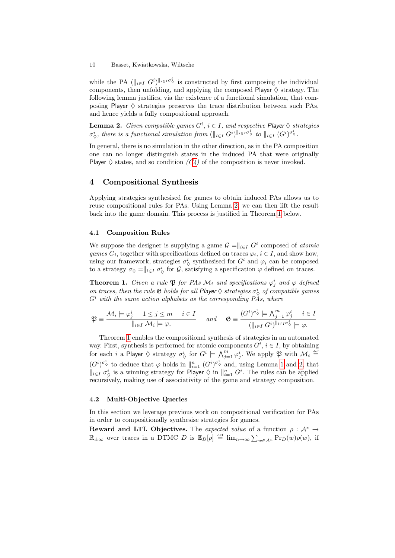while the PA  $(\parallel_{i \in I} G^i)^{\parallel_{i \in I} \sigma_{\phi}^i}$  is constructed by first composing the individual components, then unfolding, and applying the composed Player  $\diamondsuit$  strategy. The following lemma justifies, via the existence of a functional simulation, that composing Player  $\diamond$  strategies preserves the trace distribution between such PAs, and hence yields a fully compositional approach.

<span id="page-10-1"></span>**Lemma 2.** Given compatible games  $G^i$ ,  $i \in I$ , and respective Player  $\diamond$  strategies  $\sigma^i_\Diamond$ , there is a functional simulation from  $(\parallel_{i\in I} G^i)^{\parallel_{i\in I}\sigma^i_\Diamond}$  to  $\parallel_{i\in I} (G^i)^{\sigma^i_\Diamond}$ .

In general, there is no simulation in the other direction, as in the PA composition one can no longer distinguish states in the induced PA that were originally Player  $\diamond$  states, and so condition  $\langle C_4 \rangle$  of the composition is never invoked.

### <span id="page-10-0"></span>4 Compositional Synthesis

Applying strategies synthesised for games to obtain induced PAs allows us to reuse compositional rules for PAs. Using Lemma [2,](#page-10-1) we can then lift the result back into the game domain. This process is justified in Theorem [1](#page-10-2) below.

#### <span id="page-10-3"></span>4.1 Composition Rules

We suppose the designer is supplying a game  $\mathcal{G} = ||_{i \in I} G^i$  composed of atomic games  $G_i$ , together with specifications defined on traces  $\varphi_i$ ,  $i \in I$ , and show how, using our framework, strategies  $\sigma_{\Diamond}^{i}$  synthesised for  $G^{i}$  and  $\varphi_{i}$  can be composed to a strategy  $\sigma_{\diamondsuit} = ||_{i \in I} \sigma_{\diamondsuit}^i$  for  $\mathcal{G}$ , satisfying a specification  $\varphi$  defined on traces.

<span id="page-10-2"></span>**Theorem 1.** Given a rule  $\mathfrak{P}$  for PAs  $\mathcal{M}_i$  and specifications  $\varphi^i_j$  and  $\varphi$  defined on traces, then the rule  $\mathfrak G$  holds for all Player  $\Diamond$  strategies  $\sigma_{\Diamond}^i$  of compatible games  $G<sup>i</sup>$  with the same action alphabets as the corresponding PAs, where

$$
\mathfrak{P} \equiv \frac{\mathcal{M}_i \models \varphi_j^i \quad 1 \le j \le m \quad i \in I}{\|\mathbf{i}\mathbf{i} - \mathcal{M}_i\mathbf{j}\| \varphi_j}, \qquad \text{and} \quad \mathfrak{G} \equiv \frac{(G^i)^{\sigma^i_{\Diamond}} \models \bigwedge_{j=1}^m \varphi_j^i \quad i \in I}{(\|\mathbf{i}\mathbf{i} - \mathbf{i} - \mathbf{i}\|^i)\|\mathbf{i}\mathbf{i} - \mathbf{i} - \mathbf{i}\|^i} \mathfrak{P}_j.
$$

Theorem [1](#page-10-2) enables the compositional synthesis of strategies in an automated way. First, synthesis is performed for atomic components  $G^i$ ,  $i \in I$ , by obtaining for each i a Player  $\Diamond$  strategy  $\sigma_{\Diamond}^i$  for  $G^i \models \bigwedge_{j=1}^m \varphi_j^i$ . We apply  $\mathfrak P$  with  $\mathcal M_i \stackrel{\text{\tiny def}}{=}$  $(G<sup>i</sup>)<sup>\sigma</sup>$ <sup>*i*</sup> to deduce that  $\varphi$  holds in  $\|_{i=1}^{n}$   $(G<sup>i</sup>)<sup>\sigma</sup>$ <sup>*i*</sup> and, using Lemma [1](#page-9-0) and [2,](#page-10-1) that  $\|i \in I$   $\sigma_{\diamondsuit}^i$  is a winning strategy for Player  $\diamondsuit$  in  $\|_{i=1}^n G^i$ . The rules can be applied recursively, making use of associativity of the game and strategy composition.

#### 4.2 Multi-Objective Queries

In this section we leverage previous work on compositional verification for PAs in order to compositionally synthesise strategies for games.

Reward and LTL Objectives. The expected value of a function  $\rho : A^* \to$  $\mathbb{R}_{\pm\infty}$  over traces in a DTMC D is  $\mathbb{E}_D[\rho] \stackrel{\text{def}}{=} \lim_{n\to\infty} \sum_{w\in\mathcal{A}^n} \Pr_D(w)\rho(w)$ , if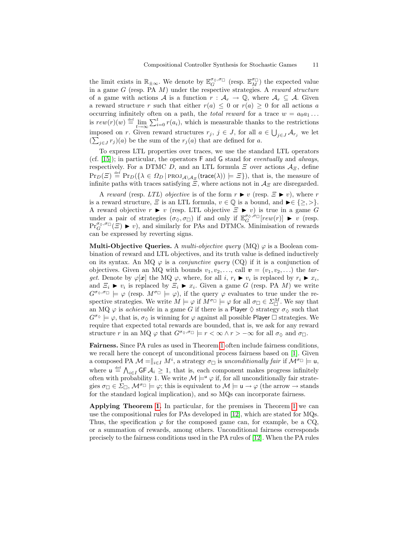the limit exists in  $\mathbb{R}_{\pm\infty}$ . We denote by  $\mathbb{E}_G^{\sigma_{\diamond},\sigma_{\Box}}$  (resp.  $\mathbb{E}_M^{\sigma_{\Box}}$ ) the expected value in a game  $G$  (resp. PA  $M$ ) under the respective strategies. A reward structure of a game with actions A is a function  $r : A_r \to \mathbb{Q}$ , where  $A_r \subseteq A$ . Given a reward structure r such that either  $r(a) \leq 0$  or  $r(a) \geq 0$  for all actions a occurring infinitely often on a path, the *total reward* for a trace  $w = a_0 a_1 \dots$ is  $rew(r)(w) \stackrel{\text{def}}{=} \lim_{t \to \infty} \sum_{i=0}^{t} r(a_i)$ , which is measurable thanks to the restrictions imposed on r. Given reward structures  $r_j, j \in J$ , for all  $a \in \bigcup_{j \in J} A_{r_j}$  we let  $(\sum_{j\in J} r_j)(a)$  be the sum of the  $r_j(a)$  that are defined for a.

To express LTL properties over traces, we use the standard LTL operators (cf. [\[15\]](#page-15-15)); in particular, the operators F and G stand for eventually and always, respectively. For a DTMC D, and an LTL formula  $\Xi$  over actions  $\mathcal{A}_{\Xi}$ , define  $\Pr_D(\Xi) \stackrel{\text{def}}{=} \Pr_D(\{\lambda \in \Omega_D \mid \text{PROJ}_{\mathcal{A} \setminus \mathcal{A}_{\Xi}}(\text{trace}(\lambda)) \models \Xi\}),\$  that is, the measure of infinite paths with traces satisfying  $\Xi$ , where actions not in  $\mathcal{A}_{\Xi}$  are disregarded.

A reward (resp. LTL) objective is of the form  $r \triangleright v$  (resp.  $\Xi \triangleright v$ ), where r is a reward structure,  $\Xi$  is an LTL formula,  $v \in \mathbb{Q}$  is a bound, and  $\blacktriangleright \in \{\geq, >\}.$ A reward objective  $r \rightarrow v$  (resp. LTL objective  $\overline{E} \rightarrow v$ ) is true in a game G under a pair of strategies  $(\sigma_{\Diamond}, \sigma_{\Box})$  if and only if  $\mathbb{E}_G^{\sigma_{\Diamond}, \sigma_{\Box}}[rew(r)] \rightarrow v$  (resp.  $\Pr_G^{\sigma_{\diamondsuit},\sigma_{\Box}}(\tilde{\Xi}) \blacktriangleright v$ , and similarly for PAs and DTMCs. Minimisation of rewards can be expressed by reverting signs.

**Multi-Objective Queries.** A *multi-objective query* (MQ)  $\varphi$  is a Boolean combination of reward and LTL objectives, and its truth value is defined inductively on its syntax. An MQ  $\varphi$  is a *conjunctive query* (CQ) if it is a conjunction of objectives. Given an MQ with bounds  $v_1, v_2, \ldots$ , call  $\mathbf{v} = (v_1, v_2, \ldots)$  the target. Denote by  $\varphi[\mathbf{x}]$  the MQ  $\varphi$ , where, for all i,  $r_i \blacktriangleright v_i$  is replaced by  $r_i \blacktriangleright x_i$ , and  $\Xi_i \blacktriangleright v_i$  is replaced by  $\Xi_i \blacktriangleright x_i$ . Given a game G (resp. PA M) we write  $G^{\sigma_{\Diamond},\sigma_{\Box}} \models \varphi$  (resp.  $M^{\sigma_{\Box}} \models \varphi$ ), if the query  $\varphi$  evaluates to true under the respective strategies. We write  $M \models \varphi$  if  $M^{\sigma} \Box \models \varphi$  for all  $\sigma \Box \in \Sigma_{\Box}^M$ . We say that an MQ  $\varphi$  is *achievable* in a game G if there is a Player  $\Diamond$  strategy  $\sigma_{\Diamond}$  such that  $G^{\sigma\phi} \models \varphi$ , that is,  $\sigma_{\phi}$  is winning for  $\varphi$  against all possible Player  $\Box$  strategies. We require that expected total rewards are bounded, that is, we ask for any reward structure r in an MQ  $\varphi$  that  $G^{\sigma_{\Diamond},\sigma_{\Box}} \models r < \infty \land r > -\infty$  for all  $\sigma_{\Diamond}$  and  $\sigma_{\Box}$ .

Fairness. Since PA rules as used in Theorem [1](#page-10-2) often include fairness conditions, we recall here the concept of unconditional process fairness based on [\[1\]](#page-15-16). Given a composed PA  $\mathcal{M} = ||_{i \in I} M^i$ , a strategy  $\sigma_\Box$  is unconditionally fair if  $\mathcal{M}^{\sigma_\Box} \models u$ , where  $\mathsf{u} \stackrel{\text{def}}{=} \bigwedge_{i \in I} \mathsf{GF} \mathcal{A}_i \geq 1$ , that is, each component makes progress infinitely often with probability 1. We write  $\mathcal{M} \models^{\mathsf{u}} \varphi$  if, for all unconditionally fair strategies  $\sigma \Box \in \Sigma \Box$ ,  $\mathcal{M}^{\sigma} \Box \models \varphi$ ; this is equivalent to  $\mathcal{M} \models \mathsf{u} \rightarrow \varphi$  (the arrow  $\rightarrow$  stands for the standard logical implication), and so MQs can incorporate fairness.

Applying Theorem [1.](#page-10-2) In particular, for the premises in Theorem [1](#page-10-2) we can use the compositional rules for PAs developed in [\[12\]](#page-15-8), which are stated for MQs. Thus, the specification  $\varphi$  for the composed game can, for example, be a CQ, or a summation of rewards, among others. Unconditional fairness corresponds precisely to the fairness conditions used in the PA rules of [\[12\]](#page-15-8). When the PA rules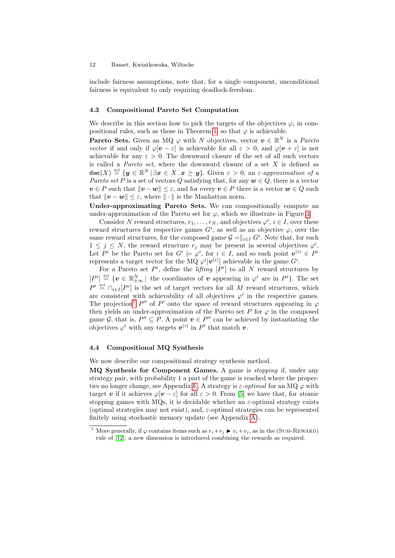include fairness assumptions, note that, for a single component, unconditional fairness is equivalent to only requiring deadlock-freedom.

#### <span id="page-12-1"></span>4.3 Compositional Pareto Set Computation

We describe in this section how to pick the targets of the objectives  $\varphi_i$  in com-positional rules, such as those in Theorem [1,](#page-10-2) so that  $\varphi$  is achievable.

**Pareto Sets.** Given an MQ  $\varphi$  with N objectives, vector  $\mathbf{v} \in \mathbb{R}^N$  is a *Pareto* vector if and only if  $\varphi[\mathbf{v} - \varepsilon]$  is achievable for all  $\varepsilon > 0$ , and  $\varphi[\mathbf{v} + \varepsilon]$  is not achievable for any  $\varepsilon > 0$ . The downward closure of the set of all such vectors is called a *Pareto set*, where the downward closure of a set  $X$  is defined as  $\mathsf{dwc}(X) \stackrel{\scriptscriptstyle{\mathsf{def}}}{=} \{\bm{y} \in \mathbb{R}^N \, | \, \exists \bm{x} \in X \, . \, \bm{x} \geq \bm{y} \}.$  Given  $\varepsilon > 0,$  an  $\varepsilon\text{-}approximation$  of a Pareto set P is a set of vectors Q satisfying that, for any  $w \in Q$ , there is a vector  $v \in P$  such that  $\|v - w\| \leq \varepsilon$ , and for every  $v \in P$  there is a vector  $w \in Q$  such that  $\|\boldsymbol{v} - \boldsymbol{w}\| \leq \varepsilon$ , where  $\|\cdot\|$  is the Manhattan norm.

Under-approximating Pareto Sets. We can compositionally compute an under-approximation of the Pareto set for  $\varphi$ , which we illustrate in Figure [3.](#page-13-0)

Consider N reward structures,  $r_1, \ldots, r_N$ , and objectives  $\varphi^i, i \in I$ , over these reward structures for respective games  $G^i$ , as well as an objective  $\varphi$ , over the same reward structures, for the composed game  $\mathcal{G} = ||_{i \in I} G^i$ . Note that, for each  $1 \leq j \leq N$ , the reward structure  $r_j$  may be present in several objectives  $\varphi^i$ . Let  $P^i$  be the Pareto set for  $G^i \models \varphi^i$ , for  $i \in I$ , and so each point  $v^{(i)} \in P^i$ represents a target vector for the MQ  $\varphi^{i}[\boldsymbol{v}^{(i)}]$  achievable in the game  $G^{i}$ .

For a Pareto set  $P^i$ , define the *lifting*  $[P^i]$  to all N reward structures by  $[P^i] \stackrel{\text{def}}{=} \{v \in \mathbb{R}^N_{\pm\infty} \mid \text{ the coordinates of } v \text{ appearing in } \varphi^i \text{ are in } P^i\}.$  The set  $P' \stackrel{\text{def}}{=} \bigcap_{i \in I} [P^i]$  is the set of target vectors for all M reward structures, which are consistent with achievability of all objectives  $\varphi^i$  in the respective games. The projection<sup>[1](#page-12-0)</sup> P'' of P' onto the space of reward structures appearing in  $\varphi$ then yields an under-approximation of the Pareto set P for  $\varphi$  in the composed game  $\mathcal{G}$ , that is,  $P'' \subseteq P$ . A point  $v \in P''$  can be achieved by instantiating the objectives  $\varphi^i$  with any targets  $v^{(i)}$  in  $P'$  that match v.

#### <span id="page-12-2"></span>4.4 Compositional MQ Synthesis

We now describe our compositional strategy synthesis method.

MO Synthesis for Component Games. A game is *stopping* if, under any strategy pair, with probability 1 a part of the game is reached where the proper-ties no longer change, see Appendix [E.](#page-23-0) A strategy is  $\varepsilon$ -optimal for an MQ  $\varphi$  with target v if it achieves  $\varphi[\mathbf{v} - \varepsilon]$  for all  $\varepsilon > 0$ . From [\[5\]](#page-15-12) we have that, for atomic stopping games with MQs, it is decidable whether an  $\varepsilon$ -optimal strategy exists (optimal strategies may not exist), and, ε-optimal strategies can be represented finitely using stochastic memory update (see Appendix [A\)](#page-16-0).

<span id="page-12-0"></span><sup>&</sup>lt;sup>1</sup> More generally, if  $\varphi$  contains items such as  $r_i + r_j \triangleright v_i + v_j$ , as in the (SUM-REWARD) rule of [\[12\]](#page-15-8), a new dimension is introduced combining the rewards as required.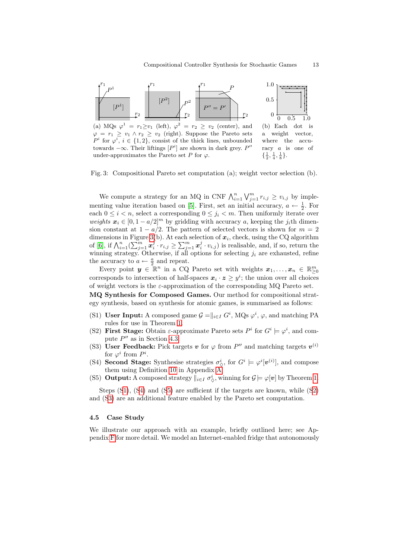

<span id="page-13-0"></span>Fig. 3: Compositional Pareto set computation (a); weight vector selection (b).

under-approximates the Pareto set P for  $\varphi$ .

We compute a strategy for an MQ in CNF  $\bigwedge_{i=1}^{n} \bigvee_{j=1}^{m} r_{i,j} \geq v_{i,j}$  by imple-menting value iteration based on [\[5\]](#page-15-12). First, set an initial accuracy,  $a \leftarrow \frac{1}{2}$ . For each  $0 \leq i \leq n$ , select a corresponding  $0 \leq j_i \leq m$ . Then uniformly iterate over weights  $x_i \in [0, 1 - a/2]^m$  by gridding with accuracy a, keeping the j<sub>i</sub>th dimension constant at  $1 - a/2$ . The pattern of selected vectors is shown for  $m = 2$ dimensions in Figure [3\(](#page-13-0)b). At each selection of  $x_i$ , check, using the CQ algorithm of [\[6\]](#page-15-2), if  $\bigwedge_{i=1}^{n} (\sum_{j=1}^{m} x_i^j \cdot r_{i,j} \geq \sum_{j=1}^{m} x_i^j \cdot v_{i,j})$  is realisable, and, if so, return the winning strategy. Otherwise, if all options for selecting  $j_i$  are exhausted, refine the accuracy to  $a \leftarrow \frac{a}{2}$  and repeat.

Every point  $y \in \mathbb{R}^n$  in a CQ Pareto set with weights  $x_1, \ldots, x_n \in \mathbb{R}^m_{\geq 0}$ corresponds to intersection of half-spaces  $x_i \cdot z \geq y^i$ ; the union over all choices of weight vectors is the  $\varepsilon$ -approximation of the corresponding MQ Pareto set.

MQ Synthesis for Composed Games. Our method for compositional strategy synthesis, based on synthesis for atomic games, is summarised as follows:

- <span id="page-13-1"></span>(S1) User Input: A composed game  $\mathcal{G} = ||_{i \in I} G^i$ , MQs  $\varphi^i$ ,  $\varphi$ , and matching PA rules for use in Theorem [1.](#page-10-2)
- <span id="page-13-4"></span>(S2) First Stage: Obtain  $\varepsilon$ -approximate Pareto sets  $P^i$  for  $G^i \models \varphi^i$ , and compute  $P''$  as in Section [4.3.](#page-12-1)
- <span id="page-13-5"></span>(S3) User Feedback: Pick targets v for  $\varphi$  from P'' and matching targets  $v^{(i)}$ for  $\varphi^i$  from  $P^i$ .
- <span id="page-13-2"></span>(S4) Second Stage: Synthesise strategies  $\sigma_{\Diamond}^i$ , for  $G^i \models \varphi^i[v^{(i)}]$ , and compose them using Definition [10](#page-17-0) in Appendix [A.](#page-16-0)
- <span id="page-13-3"></span>(S5) **Output:** A composed strategy  $\|_{i \in I} \sigma_{\Diamond}^{i}$ , winning for  $\mathcal{G} \models \varphi[\boldsymbol{v}]$  by Theorem [1.](#page-10-2)

Steps ([S1\)](#page-13-1), ([S4\)](#page-13-2) and ([S5\)](#page-13-3) are sufficient if the targets are known, while ([S2\)](#page-13-4) and ([S3\)](#page-13-5) are an additional feature enabled by the Pareto set computation.

#### <span id="page-13-6"></span>4.5 Case Study

We illustrate our approach with an example, briefly outlined here; see Appendix [F](#page-23-1) for more detail. We model an Internet-enabled fridge that autonomously

 $\{\frac{1}{2},\frac{1}{4},\frac{1}{8}\}.$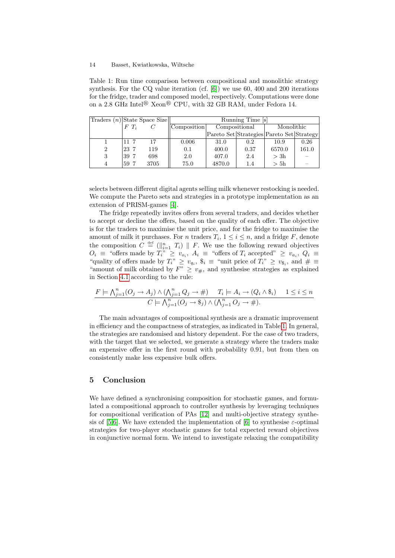<span id="page-14-0"></span>Table 1: Run time comparison between compositional and monolithic strategy synthesis. For the CQ value iteration (cf.  $[6]$ ) we use 60, 400 and 200 iterations for the fridge, trader and composed model, respectively. Computations were done on a 2.8 GHz Intel<sup>®</sup> Xeon<sup>®</sup> CPU, with 32 GB RAM, under Fedora 14.

| $\boxed{\text{Traders}(n)   \text{State Space Size}  }$ |         |      |             |               | Running Time [s] |                                           |            |  |
|---------------------------------------------------------|---------|------|-------------|---------------|------------------|-------------------------------------------|------------|--|
|                                                         | $F T_i$ |      | Composition | Compositional |                  |                                           | Monolithic |  |
|                                                         |         |      |             |               |                  | Pareto Set Strategies Pareto Set Strategy |            |  |
|                                                         | 11 7    |      | 0.006       | 31.0          | 0.2              | 10.9                                      | 0.26       |  |
| $\overline{2}$                                          | 23 7    | 119  | 0.1         | 400.0         | 0.37             | 6570.0                                    | 161.0      |  |
| 3                                                       | 39–7    | 698  | 2.0         | 407.0         | 2.4              | > 3h                                      |            |  |
|                                                         | 159 7   | 3705 | 75.0        | 4870.0        | 1.4              | > 5h                                      |            |  |

selects between different digital agents selling milk whenever restocking is needed. We compute the Pareto sets and strategies in a prototype implementation as an extension of PRISM-games [\[4\]](#page-15-17).

The fridge repeatedly invites offers from several traders, and decides whether to accept or decline the offers, based on the quality of each offer. The objective is for the traders to maximise the unit price, and for the fridge to maximise the amount of milk it purchases. For n traders  $T_i$ ,  $1 \leq i \leq n$ , and a fridge F, denote the composition  $C \stackrel{\text{def}}{=} (\|_{i=1}^n T_i) \| F$ . We use the following reward objectives  $O_i \equiv$  "offers made by  $T_i$ "  $\geq v_{o_i}$ ,  $A_i \equiv$  "offers of  $T_i$  accepted"  $\geq v_{a_i}$ ,  $Q_i \equiv$ "quality of offers made by  $T_i$ "  $\geq v_{q_i}$ ,  $\hat{\mathbb{S}}_i \equiv$  "unit price of  $T_i$ "  $\geq v_{\hat{\mathbb{S}}_i}$ , and  $\# \equiv$ "amount of milk obtained by  $F'' \ge v_{\#}$ , and synthesise strategies as explained in Section [4.1](#page-10-3) according to the rule:

$$
\frac{F \models \bigwedge_{j=1}^{n} (O_j \to A_j) \land (\bigwedge_{j=1}^{n} Q_j \to \#) \quad T_i \models A_i \to (Q_i \land \$_i) \quad 1 \leq i \leq n}{C \models \bigwedge_{j=1}^{n} (O_j \to \$_j) \land (\bigwedge_{j=1}^{n} O_j \to \#).
$$

The main advantages of compositional synthesis are a dramatic improvement in efficiency and the compactness of strategies, as indicated in Table [1.](#page-14-0) In general, the strategies are randomised and history dependent. For the case of two traders, with the target that we selected, we generate a strategy where the traders make an expensive offer in the first round with probability 0.91, but from then on consistently make less expensive bulk offers.

## 5 Conclusion

We have defined a synchronising composition for stochastic games, and formulated a compositional approach to controller synthesis by leveraging techniques for compositional verification of PAs [\[12\]](#page-15-8) and multi-objective strategy synthe-sis of [\[5,](#page-15-12)[6\]](#page-15-2). We have extended the implementation of [\[6\]](#page-15-2) to synthesise  $\varepsilon$ -optimal strategies for two-player stochastic games for total expected reward objectives in conjunctive normal form. We intend to investigate relaxing the compatibility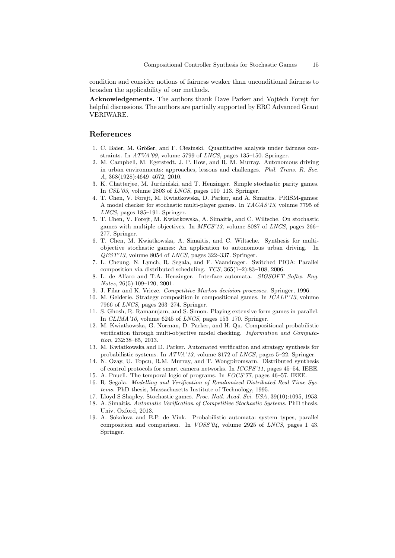condition and consider notions of fairness weaker than unconditional fairness to broaden the applicability of our methods.

Acknowledgements. The authors thank Dave Parker and Vojtěch Forejt for helpful discussions. The authors are partially supported by ERC Advanced Grant VERIWARE.

## References

- <span id="page-15-16"></span>1. C. Baier, M. Größer, and F. Ciesinski. Quantitative analysis under fairness constraints. In ATVA'09, volume 5799 of LNCS, pages 135-150. Springer.
- <span id="page-15-0"></span>2. M. Campbell, M. Egerstedt, J. P. How, and R. M. Murray. Autonomous driving in urban environments: approaches, lessons and challenges. Phil. Trans. R. Soc. A, 368(1928):4649–4672, 2010.
- <span id="page-15-10"></span>3. K. Chatterjee, M. Jurdziński, and T. Henzinger. Simple stochastic parity games. In CSL'03, volume 2803 of LNCS, pages 100–113. Springer.
- <span id="page-15-17"></span>4. T. Chen, V. Forejt, M. Kwiatkowska, D. Parker, and A. Simaitis. PRISM-games: A model checker for stochastic multi-player games. In TACAS'13, volume 7795 of LNCS, pages 185–191. Springer.
- <span id="page-15-12"></span>5. T. Chen, V. Forejt, M. Kwiatkowska, A. Simaitis, and C. Wiltsche. On stochastic games with multiple objectives. In MFCS'13, volume 8087 of LNCS, pages 266– 277. Springer.
- <span id="page-15-2"></span>6. T. Chen, M. Kwiatkowska, A. Simaitis, and C. Wiltsche. Synthesis for multiobjective stochastic games: An application to autonomous urban driving. In QEST'13, volume 8054 of LNCS, pages 322–337. Springer.
- <span id="page-15-9"></span>7. L. Cheung, N. Lynch, R. Segala, and F. Vaandrager. Switched PIOA: Parallel composition via distributed scheduling. TCS, 365(1–2):83–108, 2006.
- <span id="page-15-7"></span>8. L. de Alfaro and T.A. Henzinger. Interface automata. SIGSOFT Softw. Eng. Notes, 26(5):109–120, 2001.
- <span id="page-15-11"></span>9. J. Filar and K. Vrieze. Competitive Markov decision processes. Springer, 1996.
- <span id="page-15-13"></span>10. M. Gelderie. Strategy composition in compositional games. In ICALP'13, volume 7966 of LNCS, pages 263–274. Springer.
- <span id="page-15-14"></span>11. S. Ghosh, R. Ramanujam, and S. Simon. Playing extensive form games in parallel. In CLIMA'10, volume 6245 of LNCS, pages 153–170. Springer.
- <span id="page-15-8"></span>12. M. Kwiatkowska, G. Norman, D. Parker, and H. Qu. Compositional probabilistic verification through multi-objective model checking. Information and Computation, 232:38–65, 2013.
- <span id="page-15-3"></span>13. M. Kwiatkowska and D. Parker. Automated verification and strategy synthesis for probabilistic systems. In ATVA'13, volume 8172 of LNCS, pages 5–22. Springer.
- <span id="page-15-1"></span>14. N. Ozay, U. Topcu, R.M. Murray, and T. Wongpiromsarn. Distributed synthesis of control protocols for smart camera networks. In ICCPS'11, pages 45–54. IEEE.
- <span id="page-15-15"></span>15. A. Pnueli. The temporal logic of programs. In FOCS'77, pages 46–57. IEEE.
- <span id="page-15-5"></span>16. R. Segala. Modelling and Verification of Randomized Distributed Real Time Systems. PhD thesis, Massachusetts Institute of Technology, 1995.
- <span id="page-15-4"></span>17. Lloyd S Shapley. Stochastic games. Proc. Natl. Acad. Sci. USA, 39(10):1095, 1953.
- <span id="page-15-18"></span>18. A. Simaitis. Automatic Verification of Competitive Stochastic Systems. PhD thesis, Univ. Oxford, 2013.
- <span id="page-15-6"></span>19. A. Sokolova and E.P. de Vink. Probabilistic automata: system types, parallel composition and comparison. In VOSS'04, volume 2925 of LNCS, pages 1–43. Springer.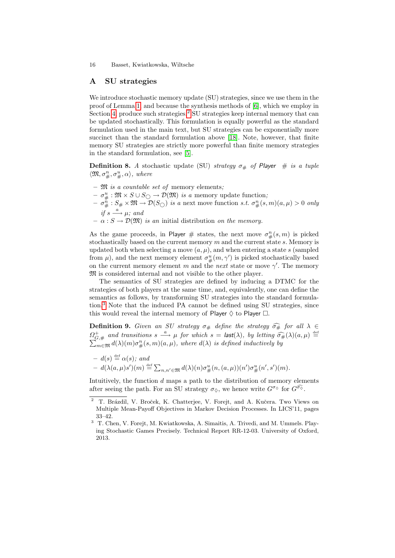### <span id="page-16-0"></span>A SU strategies

We introduce stochastic memory update (SU) strategies, since we use them in the proof of Lemma [1,](#page-9-0) and because the synthesis methods of [\[6\]](#page-15-2), which we employ in Section [4,](#page-10-0) produce such strategies.[2](#page-16-1) SU strategies keep internal memory that can be updated stochastically. This formulation is equally powerful as the standard formulation used in the main text, but SU strategies can be exponentially more succinct than the standard formulation above [\[18\]](#page-15-18). Note, however, that finite memory SU strategies are strictly more powerful than finite memory strategies in the standard formulation, see [\[5\]](#page-15-12).

**Definition 8.** A stochastic update (SU) strategy  $\sigma_{\#}$  of Player  $\#$  is a tuple  $\langle \mathfrak{M}, \sigma_{\#}^n, \sigma_{\#}^u, \alpha \rangle$ , where

- $\mathfrak{M}$  is a countable set of memory elements;
- $\sigma_{\#}^u : \mathfrak{M} \times S \cup S_{\bigcirc} \to \mathcal{D}(\mathfrak{M})$  is a memory update function,
- $-\sigma^{\ddot{n}}_{\#}: S_{\#} \times \mathfrak{M} \to \mathcal{D}(S_{\bigcirc})$  is a next move function s.t.  $\sigma_{\#}^{n}(s, m)(a, \mu) > 0$  only if  $s \stackrel{a}{\longrightarrow} \mu$ ; and
- $\alpha : S \to \mathcal{D}(\mathfrak{M})$  is an initial distribution on the memory.

As the game proceeds, in Player # states, the next move  $\sigma_{\#}^n(s,m)$  is picked stochastically based on the current memory  $m$  and the current state  $s$ . Memory is updated both when selecting a move  $(a, \mu)$ , and when entering a state s (sampled from  $\mu$ ), and the next memory element  $\sigma^u_{\#}(m, \gamma')$  is picked stochastically based on the current memory element m and the next state or move  $\gamma'$ . The memory M is considered internal and not visible to the other player.

The semantics of SU strategies are defined by inducing a DTMC for the strategies of both players at the same time, and, equivalently, one can define the semantics as follows, by transforming SU strategies into the standard formulation.[3](#page-16-2) Note that the induced PA cannot be defined using SU strategies, since this would reveal the internal memory of Player  $\diamondsuit$  to Player  $\square$ .

<span id="page-16-3"></span>**Definition 9.** Given an SU strategy  $\sigma_{\#}$  define the strategy  $\widehat{\sigma_{\#}}$  for all  $\lambda \in$  $\Omega_{G,\#}^+$  and transitions  $s \xrightarrow{a} \mu$  for which  $s = \text{last}(\lambda)$ , by letting  $\widehat{\sigma}_{\#}(\lambda)(a,\mu) \triangleq \sum_{m \in \mathfrak{M}} d(\lambda)(m) \sigma_{\#}^n(s,m)(a,\mu)$ , where  $d(\lambda)$  is defined inductively by  $\lim_{m\in\mathfrak{M}}d(\lambda)(m)\sigma_{\#}^{n}(s,m)(a,\mu),$  where  $d(\lambda)$  is defined inductively by

- $-d(s) \stackrel{\text{def}}{=} \alpha(s);$  and
- $-\left(d(\lambda(a,\mu)s')(m)\right)^{\text{def}}\sum_{n,n'\in\mathfrak{M}}d(\lambda)(n)\sigma_{\#}^u(n,(a,\mu))(n')\sigma_{\#}^u(n',s')(m).$

Intuitively, the function  $d$  maps a path to the distribution of memory elements after seeing the path. For an SU strategy  $\sigma_{\Diamond}$ , we hence write  $G^{\sigma_{\Diamond}}$  for  $G^{\widehat{\sigma_{\Diamond}}}$ .

<span id="page-16-1"></span>T. Brázdil, V. Broček, K. Chatterjee, V. Forejt, and A. Kučera. Two Views on Multiple Mean-Payoff Objectives in Markov Decision Processes. In LICS'11, pages 33–42.

<span id="page-16-2"></span><sup>3</sup> T. Chen, V. Forejt, M. Kwiatkowska, A. Simaitis, A. Trivedi, and M. Ummels. Playing Stochastic Games Precisely. Technical Report RR-12-03. University of Oxford, 2013.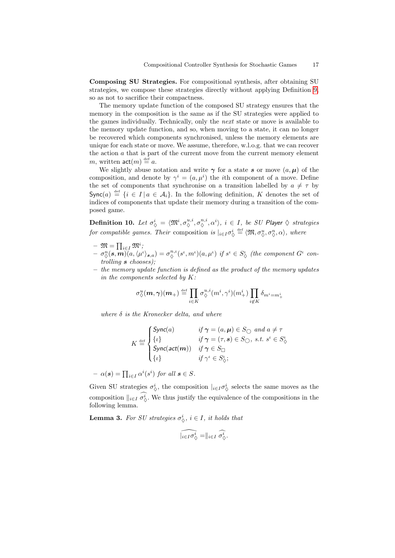Composing SU Strategies. For compositional synthesis, after obtaining SU strategies, we compose these strategies directly without applying Definition [9,](#page-16-3) so as not to sacrifice their compactness.

The memory update function of the composed SU strategy ensures that the memory in the composition is the same as if the SU strategies were applied to the games individually. Technically, only the next state or move is available to the memory update function, and so, when moving to a state, it can no longer be recovered which components synchronised, unless the memory elements are unique for each state or move. We assume, therefore, w.l.o.g. that we can recover the action  $a$  that is part of the current move from the current memory element  $m$ , written  $\textsf{act}(m) \stackrel{\text{\tiny def}}{=} a$ .

We slightly abuse notation and write  $\gamma$  for a state s or move  $(a, \mu)$  of the composition, and denote by  $\gamma^i = (a, \mu^i)$  the *i*th component of a move. Define the set of components that synchronise on a transition labelled by  $a \neq \tau$  by  $\mathsf{Sync}(a) \stackrel{\text{def}}{=} \{i \in I \mid a \in \mathcal{A}_i\}.$  In the following definition, K denotes the set of indices of components that update their memory during a transition of the composed game.

<span id="page-17-0"></span>**Definition 10.** Let  $\sigma_\Diamond^i = \langle \mathfrak{M}^i, \sigma_\Diamond^{u,i}, \sigma_\Diamond^{n,i}, \alpha^i \rangle, \ i \in I, \ be \ SU \ Player \ \Diamond \ strategies$ for compatible games. Their composition is  $|_{i\in I}\sigma_{\Diamond}^{i} \stackrel{\text{def}}{=} \langle \mathfrak{M}, \sigma_{\Diamond}^{u}, \sigma_{\Diamond}^{n}, \alpha \rangle$ , where

- $\; \mathfrak{M} = \prod_{i \in I} \mathfrak{M}^i;$
- $-\sigma_{\Diamond}^n(s, m) (a, \langle \mu^{\iota} \rangle_{s,a}) = \sigma_{\Diamond}^{n,\iota}(s^{\iota}, m^{\iota})(a, \mu^{\iota})$  if  $s^{\iota} \in S_{\Diamond}^{\iota}$  (the component  $G^{\iota}$  controlling s chooses);
- the memory update function is defined as the product of the memory updates in the components selected by  $K$ :

$$
\sigma^u_{\diamondsuit}(\boldsymbol m, \boldsymbol \gamma)(\boldsymbol m_+) \stackrel{\text{def}}{=} \prod_{i \in K} \sigma^{u,i}_{\diamondsuit}(m^i,\gamma^i)(m^i_+) \prod_{i \not \in K} \delta_{m^i = m^i_+}
$$

where  $\delta$  is the Kronecker delta, and where

$$
K \stackrel{\text{def}}{=} \begin{cases} \text{Sync}(a) & \text{if } \gamma = (a, \mu) \in S_{\bigcirc} \text{ and } a \neq \tau \\ \{v\} & \text{if } \gamma = (\tau, s) \in S_{\bigcirc}, \text{ s.t. } s^{\iota} \in S_{\diamond}^{\iota} \\ \text{Sync}(\text{act}(m)) & \text{if } \gamma \in S_{\Box} \\ \{v\} & \text{if } \gamma^{\iota} \in S_{\diamond}^{\iota}; \end{cases}
$$

$$
- \alpha(s) = \prod_{i \in I} \alpha^i(s^i) \text{ for all } s \in S.
$$

Given SU strategies  $\sigma_{\Diamond}^i$ , the composition  $|_{i\in I}\sigma_{\Diamond}^i$  selects the same moves as the composition  $\|_{i\in I} \sigma_{\Diamond}^{i}$ . We thus justify the equivalence of the compositions in the following lemma.

**Lemma 3.** For SU strategies  $\sigma_{\Diamond}^i$ ,  $i \in I$ , it holds that

<span id="page-17-1"></span>
$$
\widehat{|_{i\in I}\sigma^i_{\Diamond}}=\parallel_{i\in I}\widehat{\sigma^i_{\Diamond}}.
$$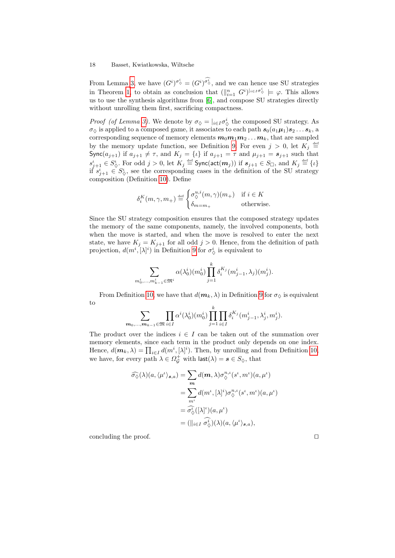From Lemma [3,](#page-17-1) we have  $(G^i)^{\sigma^i_{\diamondsuit}} = (G^i)^{\sigma^i_{\diamondsuit}}$ , and we can hence use SU strategies in Theorem [1,](#page-10-2) to obtain as conclusion that  $(\|_{i=1}^n G^i)^{l_{i\in I}\sigma^i_{\varphi}} \models \varphi$ . This allows us to use the synthesis algorithms from [\[6\]](#page-15-2), and compose SU strategies directly without unrolling them first, sacrificing compactness.

*Proof (of Lemma [3\)](#page-17-1)*. We denote by  $\sigma_{\Diamond} = |_{i \in I} \sigma_{\Diamond}^{i}$  the composed SU strategy. As  $\sigma_{\Diamond}$  is applied to a composed game, it associates to each path  $s_0(a_1\mu_1)s_2 \ldots s_k$ , a corresponding sequence of memory elements  $m_0m_1m_2 \ldots m_k$ , that are sampled by the memory update function, see Definition [9.](#page-16-3) For even  $j > 0$ , let  $K_j \stackrel{\text{def}}{=}$ Sync $(a_{j+1})$  if  $a_{j+1} \neq \tau$ , and  $K_j = \{l\}$  if  $a_{j+1} = \tau$  and  $\mu_{j+1} = s_{j+1}$  such that  $s^{\iota}_{j+1}\in S^{\iota}_{\diamondsuit}.$  For odd  $j>0,$  let  $K_j\stackrel{\scriptscriptstyle\rm def}{=} {\sf Symc}({\sf act}( \boldsymbol{m}_j))$  if  $\boldsymbol{s}_{j+1}\in S_{\square},$  and  $K_j\stackrel{\scriptscriptstyle\rm def}{=} \{\iota\}$ if  $s_{j+1}^{\iota} \in S_{\lozenge}^{\iota}$ , see the corresponding cases in the definition of the SU strategy composition (Definition [10\)](#page-17-0). Define

$$
\delta_i^K(m, \gamma, m_+) \stackrel{\text{def}}{=} \begin{cases} \sigma_{\diamondsuit}^{u, i}(m, \gamma)(m_+) & \text{if } i \in K \\ \delta_{m = m_+} & \text{otherwise.} \end{cases}
$$

Since the SU strategy composition ensures that the composed strategy updates the memory of the same components, namely, the involved components, both when the move is started, and when the move is resolved to enter the next state, we have  $K_i = K_{i+1}$  for all odd  $j > 0$ . Hence, from the definition of path projection,  $d(m^i, [\lambda]^i)$  in Definition [9](#page-16-3) for  $\sigma^i_{\Diamond}$  is equivalent to

$$
\sum_{m_0^i,...,m_{k-1}^i \in \mathfrak{M}^i} \alpha(\lambda_0^i)(m_0^i) \prod_{j=1}^k \delta_i^{K_j}(m_{j-1}^i, \lambda_j)(m_j^i).
$$

From Definition [10,](#page-17-0) we have that  $d(\mathbf{m}_k, \lambda)$  in Definition [9](#page-16-3) for  $\sigma_{\Diamond}$  is equivalent to k

$$
\sum_{m_0,\ldots,m_{k-1}\in\mathfrak{M}}\prod_{i\in I}\alpha^i(\lambda_0^i)(m_0^i)\prod_{j=1}^k\prod_{i\in I}\delta_i^{K_j}(m_{j-1}^i,\lambda_j^i,m_j^i).
$$

The product over the indices  $i \in I$  can be taken out of the summation over memory elements, since each term in the product only depends on one index. Hence,  $d(\mathbf{m}_k, \lambda) = \prod_{i \in I} d(m^i, [\lambda]^i)$ . Then, by unrolling and from Definition [10,](#page-17-0) we have, for every path  $\lambda \in \Omega_{\mathcal{G}}^{+}$  with  $\mathsf{last}(\lambda) = \mathbf{s} \in S_{\lozenge}$ , that

$$
\widehat{\sigma_{\Diamond}}(\lambda)(a, \langle \mu^{\iota} \rangle_{s,a}) = \sum_{m} d(m, \lambda) \sigma_{\Diamond}^{n,\iota}(s^{\iota}, m^{\iota})(a, \mu^{\iota})
$$

$$
= \sum_{m^{\iota}} d(m^{\iota}, [\lambda]^i) \sigma_{\Diamond}^{n,\iota}(s^{\iota}, m^{\iota})(a, \mu^{\iota})
$$

$$
= \widehat{\sigma_{\Diamond}^{\iota}}([\lambda]^{\iota})(a, \mu^{\iota})
$$

$$
= (\parallel_{i \in I} \widehat{\sigma_{\Diamond}^i})(\lambda)(a, \langle \mu^{\iota} \rangle_{s,a}),
$$

concluding the proof.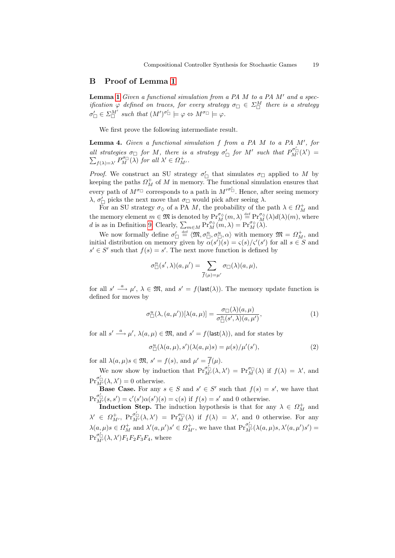#### B Proof of Lemma [1](#page-9-0)

**Lemma [1](#page-9-0)** Given a functional simulation from a PA  $M$  to a PA  $M'$  and a specification  $\varphi$  defined on traces, for every strategy  $\sigma_{\Box} \in \Sigma_{\Box}^M$  there is a strategy  $\sigma'_{\square} \in \Sigma_{\square}^{M'}$  such that  $(M')^{\sigma'_{\square}} \models \varphi \Leftrightarrow M^{\sigma_{\square}} \models \varphi$ .

We first prove the following intermediate result.

**Lemma 4.** Given a functional simulation  $f$  from a PA  $M$  to a PA  $M'$ , for all strategies  $\sigma_{\Box}$  for M, there is a strategy  $\sigma'_{\Box}$  for M' such that  $P_{M'}^{\sigma'_{\Box}}(\lambda')$  $\sum$  $) =$  $f(\lambda)=\lambda' P_M^{\sigma}\left(\lambda\right)$  for all  $\lambda' \in \Omega^+_M$ .

*Proof.* We construct an SU strategy  $\sigma'$  that simulates  $\sigma_{\Box}$  applied to M by keeping the paths  $\Omega_M^+$  of M in memory. The functional simulation ensures that every path of  $M^{\sigma}$  corresponds to a path in  $M^{\sigma}$ . Hence, after seeing memory  $\lambda$ ,  $\sigma'$  picks the next move that  $\sigma$ <sub>*□*</sub> would pick after seeing  $\lambda$ .

For an SU strategy  $\sigma_{\Diamond}$  of a PA M, the probability of the path  $\lambda \in \Omega_M^+$  and the memory element  $m \in \mathfrak{M}$  is denoted by  $Pr_{M}^{\sigma_{\diamond}}(m, \lambda) \stackrel{\text{def}}{=} Pr_{M}^{\sigma_{\diamond}}(\lambda) d(\lambda)(m)$ , where d is as in Definition [9.](#page-16-3) Clearly,  $\sum_{m \in M} \Pr_M^{\sigma_{\diamond}}(m, \lambda) = \Pr_M^{\sigma_{\diamond}}(\Lambda)$ .

We now formally define  $\sigma'_\Box \stackrel{\text{def}}{=} \langle \mathfrak{M}, \sigma^n_{\Box}, \sigma^n_{\Box}, \alpha \rangle$  with memory  $\mathfrak{M} = \Omega^+_{M}$ , and initial distribution on memory given by  $\overline{\alpha(s')}(s) = \varsigma(s)/\varsigma'(s')$  for all  $s \in S$  and  $s' \in S'$  such that  $f(s) = s'$ . The next move function is defined by

$$
\sigma^n_{\square}(s',\lambda)(a,\mu') = \sum_{\overline{f}(\mu)=\mu'} \sigma_{\square}(\lambda)(a,\mu),
$$

for all  $s' \stackrel{a}{\longrightarrow} \mu'$ ,  $\lambda \in \mathfrak{M}$ , and  $s' = f(\textsf{last}(\lambda))$ . The memory update function is defined for moves by

<span id="page-19-1"></span>
$$
\sigma_{\square}^{u}(\lambda,(a,\mu'))[\lambda(a,\mu)] = \frac{\sigma_{\square}(\lambda)(a,\mu)}{\sigma_{\square}^{n}(s',\lambda)(a,\mu')},\tag{1}
$$

for all  $s' \stackrel{a}{\longrightarrow} \mu'$ ,  $\lambda(a,\mu) \in \mathfrak{M}$ , and  $s' = f(\textsf{last}(\lambda))$ , and for states by

<span id="page-19-0"></span>
$$
\sigma_{\square}^u(\lambda(a,\mu),s')(\lambda(a,\mu)s) = \mu(s)/\mu'(s'),\tag{2}
$$

for all  $\lambda(a,\mu)s \in \mathfrak{M}, s' = f(s)$ , and  $\mu' = \overline{f}(\mu)$ .

We now show by induction that  $\Pr_{M'}^{\sigma_{\Box}'}(\lambda, \lambda') = \Pr_{M}^{\sigma_{\Box}}(\lambda)$  if  $f(\lambda) = \lambda'$ , and  $\Pr_{M'}^{\sigma'_{\Box}}(\lambda, \lambda') = 0$  otherwise.

**Base Case.** For any  $s \in S$  and  $s' \in S'$  such that  $f(s) = s'$ , we have that  $\Pr_{M'}^{\sigma'_{\square}}(s, s') = \varsigma'(s')\alpha(s')(s) = \varsigma(s)$  if  $f(s) = s'$  and 0 otherwise.

**Induction Step.** The induction hypothesis is that for any  $\lambda \in \Omega_M^+$  and  $\lambda' \in \Omega^+_{M'}$ ,  $\Pr^{\sigma'_{\square}}_{M'}(\lambda, \lambda') = \Pr^{\sigma_{\square}}_{M}(\lambda)$  if  $f(\lambda) = \lambda'$ , and 0 otherwise. For any  $\lambda(a,\mu)s \in \Omega^+_M$  and  $\lambda'(a,\mu')s' \in \Omega^+_M$ , we have that  $\Pr_{M'}^{\sigma'_\Box}(\lambda(a,\mu)s,\lambda'(a,\mu')s') =$  $\Pr_{M'}^{\sigma'_{\Box}}(\lambda, \lambda') F_1F_2F_3F_4$ , where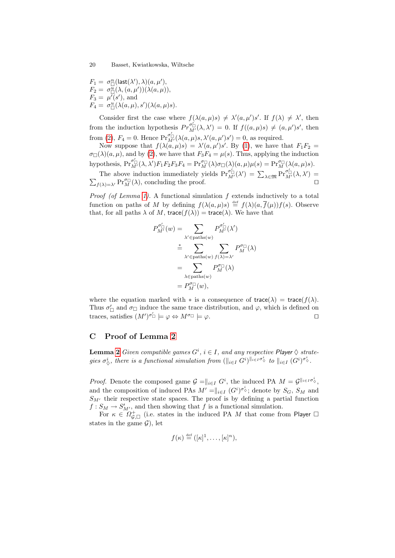$$
F_1 = \sigma_{\square}^n(\text{last}(\lambda'), \lambda)(a, \mu'),
$$
  
\n
$$
F_2 = \sigma_{\square}^u(\lambda, (a, \mu'))(\lambda(a, \mu)),
$$
  
\n
$$
F_3 = \mu'(s'), \text{ and}
$$
  
\n
$$
F_4 = \sigma_{\square}^u(\lambda(a, \mu), s')(\lambda(a, \mu)s).
$$

Consider first the case where  $f(\lambda(a,\mu)s) \neq \lambda'(a,\mu')s'$ . If  $f(\lambda) \neq \lambda'$ , then from the induction hypothesis  $Pr_{M'}^{\sigma'}(\lambda, \lambda') = 0$ . If  $f((a, \mu)s) \neq (a, \mu')s'$ , then from [\(2\)](#page-19-0),  $F_4 = 0$ . Hence  $\Pr_{M'}^{\sigma'_{\Box}}(\lambda(a,\mu)s, \lambda'(a,\mu')s') = 0$ , as required.

Now suppose that  $f(\lambda(a,\mu)s) = \lambda'(a,\mu')s'$ . By [\(1\)](#page-19-1), we have that  $F_1F_2 =$  $\sigma_{\Box}(\lambda)(a,\mu)$ , and by [\(2\)](#page-19-0), we have that  $F_3F_4 = \mu(s)$ . Thus, applying the induction hypothesis,  $\Pr_{M'}^{\sigma'_{\Box}}(\lambda, \lambda')F_1F_2F_3F_4 = \Pr_{M}^{\sigma_{\Box}}(\lambda)\sigma_{\Box}(\lambda)(a, \mu)\mu(s) = \Pr_{M}^{\sigma_{\Box}}(\lambda(a, \mu)s).$ The above induction immediately yields  $Pr_{M'}^{\sigma'_{\Box}}(\lambda') = \sum_{\lambda \in \mathfrak{M}} Pr_{M'}^{\sigma'_{\Box}}(\lambda, \lambda')$  $\sum_{f(\lambda)=\lambda'} \Pr_M^{\sigma}(\lambda)$ , concluding the proof.

*Proof (of Lemma [1\)](#page-9-0).* A functional simulation  $f$  extends inductively to a total function on paths of M by defining  $f(\lambda(a,\mu)s) \stackrel{\text{def}}{=} f(\lambda)(a,\overline{f}(\mu))f(s)$ . Observe that, for all paths  $\lambda$  of M, trace( $f(\lambda)$ ) = trace( $\lambda$ ). We have that

$$
P_{M'}^{\sigma'_{\square}}(w) = \sum_{\lambda' \in \text{paths}(w)} P_{M'}^{\sigma'_{\square}}(\lambda')
$$
  

$$
\stackrel{*}{=} \sum_{\lambda' \in \text{paths}(w)} \sum_{f(\lambda) = \lambda'} P_{M}^{\sigma_{\square}}(\lambda)
$$
  

$$
= \sum_{\lambda \in \text{paths}(w)} P_{M}^{\sigma_{\square}}(\lambda)
$$
  

$$
= P_{M}^{\sigma_{\square}}(w),
$$

where the equation marked with  $*$  is a consequence of trace( $\lambda$ ) = trace( $f(\lambda)$ . Thus  $\sigma'_{\Box}$  and  $\sigma_{\Box}$  induce the same trace distribution, and  $\varphi$ , which is defined on traces, satisfies  $(M')^{\sigma'_\mathsf{D}} \models \varphi \Leftrightarrow M^{\sigma_{\mathsf{D}}} \models \varphi.$ 

## C Proof of Lemma [2](#page-10-1)

**Lemma [2](#page-10-1)** Given compatible games  $G^i$ ,  $i \in I$ , and any respective Player  $\Diamond$  strategies  $\sigma_{\Diamond}^{i}$ , there is a functional simulation from  $(\parallel_{i\in I} G^{i})^{\parallel_{i\in I}\sigma_{\Diamond}^{i}}$  to  $\parallel_{i\in I} (G^{i})^{\sigma_{\Diamond}^{i}}$ .

*Proof.* Denote the composed game  $\mathcal{G} = ||_{i \in I} G^i$ , the induced PA  $M = \mathcal{G}^{||_{i \in I} \sigma_{\diamond}^i}$ , and the composition of induced PAs  $M' = ||_{i \in I} (G^i)^{\sigma_{\diamond}^i}$ ; denote by  $S_G$ ,  $S_M$  and  $S_{M'}$  their respective state spaces. The proof is by defining a partial function  $f: S_M \to S'_{M'}$ , and then showing that f is a functional simulation.

For  $\kappa \in \Omega_{\mathcal{G},\Box}^+$  (i.e. states in the induced PA M that come from Player  $\Box$ states in the game  $\mathcal{G}$ ), let

$$
f(\kappa) \stackrel{\text{def}}{=} ([\kappa]^1, \ldots, [\kappa]^n),
$$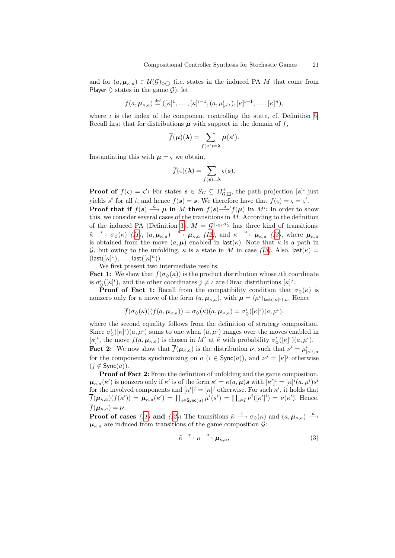and for  $(a, \mu_{\kappa,a}) \in \mathcal{U}(\mathcal{G})_{\lozenge\bigcirc}$  (i.e. states in the induced PA M that come from Player  $\diamond$  states in the game  $\mathcal{G}$ ), let

$$
f(a, \mu_{\kappa, a}) \stackrel{\text{def}}{=} ([\kappa]^1, \ldots, [\kappa]^{\iota - 1}, (a, \mu_{[\kappa]^{\iota}}^{\iota}), [\kappa]^{\iota + 1}, \ldots, [\kappa]^n),
$$

where  $\iota$  is the index of the component controlling the state, cf. Definition [5.](#page-7-1) Recall first that for distributions  $\mu$  with support in the domain of f,

$$
\overline{f}(\mu)(\lambda) = \sum_{f(\kappa')=\lambda} \mu(\kappa').
$$

Instantiating this with  $\mu = \varsigma$  we obtain.

$$
\overline{f}(\varsigma)(\lambda) = \sum_{f(\boldsymbol{s})=\boldsymbol{\lambda}} \varsigma(\boldsymbol{s}).
$$

**Proof of**  $f(\varsigma) = \varsigma'$ : For states  $s \in S_G \subseteq \Omega_{\mathcal{G},\square}^+$ , the path projection  $[s]^i$  just yields  $s^i$  for all i, and hence  $f(s) = s$ . We therefore have that  $f(\varsigma) = \varsigma = \varsigma'$ .

**Proof that if**  $f(s) \stackrel{a}{\longrightarrow} \mu$  in M then  $f(s) \stackrel{a}{\longrightarrow} \overline{f}(\mu)$  in M': In order to show this, we consider several cases of the transitions in  $M$ . According to the definition of the induced PA (Definition [3\)](#page-5-0),  $M = \mathcal{G}^{\parallel_{i \in I} \sigma_{\phi}^{i}}$  has three kind of transitions:  $\tilde{\kappa} \stackrel{\tau}{\longrightarrow} \sigma_{\lozenge}(\kappa)$  (*I1*),  $(a, \mu_{\kappa,a}) \stackrel{a}{\longrightarrow} \mu_{\kappa,a}$  (*I2*), and  $\kappa \stackrel{a}{\longrightarrow} \mu_{\kappa,a}$  (*I3*), where  $\mu_{\kappa,a}$ is obtained from the move  $(a, \mu)$  enabled in last $(\kappa)$ . Note that  $\kappa$  is a path in G, but owing to the unfolding,  $\kappa$  is a state in M in case ([I3\)](#page-5-3). Also, last( $\kappa$ ) =  $(\textsf{last}([\kappa]^1), \ldots, \textsf{last}([\kappa]^n)).$ 

We first present two intermediate results:

<span id="page-21-0"></span>**Fact 1:** We show that  $\overline{f}(\sigma_{\theta}(k))$  is the product distribution whose *i*th coordinate is  $\sigma_{\theta}^{\iota}([\kappa]^{\iota})$ , and the other coordinates  $j \neq \iota$  are Dirac distributions  $[\kappa]^j$ .

**Proof of Fact 1:** Recall from the compatibility condition that  $\sigma_{\phi}(\kappa)$  is nonzero only for a move of the form  $(a, \mu_{\kappa,a})$ , with  $\mu = \langle \mu^{\iota} \rangle_{\mathsf{last}([\kappa]^{\iota}),a}$ . Hence

$$
\overline{f}(\sigma_{\Diamond}(\kappa))(f(a, \boldsymbol{\mu}_{\kappa, a})) = \sigma_{\Diamond}(\kappa)(a, \boldsymbol{\mu}_{\kappa, a}) = \sigma_{\Diamond}^{\iota}([\kappa]^{\iota})(a, \mu^{\iota}),
$$

where the second equality follows from the definition of strategy composition. Since  $\sigma_{\Diamond}^{\iota}([\kappa]^{\iota})(a,\mu^{\iota})$  sums to one when  $(a,\mu^{\iota})$  ranges over the moves enabled in [ $\kappa$ ]<sup>*i*</sup>, the move  $f(a, \mu_{\kappa,a})$  is chosen in M' at  $\tilde{\kappa}$  with probability  $\sigma_{\varphi}^{\iota}([\kappa]^{\iota})(a,\mu^{\iota})$ . **Fact 2:** We now show that  $\overline{f}(\mu_{\kappa,a})$  is the distribution  $\nu$ , such that  $\nu^i = \mu^i_{[\kappa]^i,a}$ 

<span id="page-21-1"></span>for the components synchronizing on  $a$   $(i \in \text{Sync}(a))$ , and  $\nu^j = [\kappa]^j$  otherwise  $(j \notin \textsf{Symc}(a)).$ 

Proof of Fact 2: From the definition of unfolding and the game composition,  $\mu_{\kappa,a}(\kappa')$  is nonzero only if  $\kappa'$  is of the form  $\kappa' = \kappa(a,\mu)s$  with  $[\kappa']^i = [\kappa]^i(a,\mu^i)s^i$ for the involved components and  $[\kappa']^j = [\kappa]^j$  otherwise. For such  $\kappa'$ , it holds that  $\overline{f}(\mu_{\kappa,a})(f(\kappa')) = \mu_{\kappa,a}(\kappa') = \prod_{i \in \text{Sync}(a)} \mu^i(s^i) = \prod_{i \in I} \nu^i([\kappa']^i) = \nu(\kappa').$  Hence,  $\overline{f}(\boldsymbol{\mu}_{\kappa,a})=\boldsymbol{\nu}.$ 

**Proof of cases** ([I1\)](#page-5-1) and ([I2\)](#page-5-2): The transitions  $\tilde{\kappa} \stackrel{\tau}{\longrightarrow} \sigma_{\phi}(\kappa)$  and  $(a, \mu_{\kappa,a}) \stackrel{a}{\longrightarrow}$  $\mu_{\kappa,a}$  are induced from transitions of the game composition  $\mathcal{G}$ :

$$
\tilde{\kappa} \xrightarrow{\tau} \kappa \xrightarrow{a} \mu_{\kappa, a},\tag{3}
$$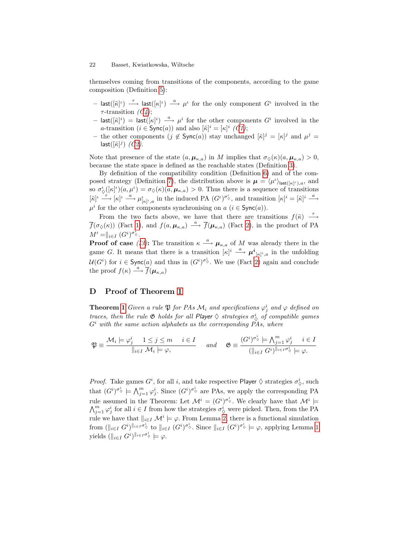themselves coming from transitions of the components, according to the game composition (Definition [5\)](#page-7-1):

- $-$  last $([\tilde{\kappa}]^{\iota}) \longrightarrow {\iota}^{\alpha}$  ast $([\kappa]^{\iota}) \longrightarrow {\iota}^{\iota}$  for the only component  $G^{\iota}$  involved in the  $\tau$ -transition  $(C_4)$ ;
- last $([\tilde{\kappa}]^i)$  = last $([\kappa]^i) \stackrel{a}{\longrightarrow} \mu^i$  for the other components  $G^i$  involved in the a-transition ( $i \in \text{Sync}(a)$ ) and also  $[\tilde{\kappa}]^i = [\kappa]^i$  ([C1\)](#page-7-2);
- the other components (*j* ∉ Sync(*a*)) stay unchanged [ $\tilde{κ}$ ]<sup>*j*</sup> = [ $κ$ ]<sup>*j*</sup> and  $μ$ <sup>*j*</sup> =  $\mathsf{last}([\tilde{\kappa}]^j)$  ([C2\)](#page-7-3).

Note that presence of the state  $(a, \mu_{\kappa,a})$  in M implies that  $\sigma_{\varphi}(\kappa)(a, \mu_{\kappa,a}) > 0$ , because the state space is defined as the reachable states (Definition [3\)](#page-5-0).

By definition of the compatibility condition (Definition [6\)](#page-8-1) and of the com-posed strategy (Definition [7\)](#page-9-1), the distribution above is  $\mu = \langle \mu^{\iota} \rangle_{\mathsf{last}([\kappa]^{\iota}),a}$ , and so  $\sigma_{\Diamond}^{\iota}([\kappa]^{\iota})(a,\mu^{\iota}) = \sigma_{\Diamond}(\kappa)(a,\mu_{\kappa,a}) > 0$ . Thus there is a sequence of transitions  $[\tilde{\kappa}]^i \stackrel{\tau}{\longrightarrow} [\kappa]^i \stackrel{a}{\longrightarrow} \mu_{[\kappa]^i,a}^i$  in the induced PA  $(G^i)^{\sigma^i_{\mathcal{O}}}$ , and transition  $[\kappa]^i = [\tilde{\kappa}]^i \stackrel{a}{\longrightarrow}$  $\mu^i$  for the other components synchronising on  $a$   $(i \in \textsf{Sync}(a)).$ 

From the two facts above, we have that there are transitions  $f(\tilde{\kappa}) \stackrel{\tau}{\longrightarrow}$  $\overline{f}(\sigma_{\Diamond}(\kappa))$  (Fact [1\)](#page-21-0), and  $f(a, \mu_{\kappa,a}) \stackrel{a}{\longrightarrow} \overline{f}(\mu_{\kappa,a})$  (Fact [2\)](#page-21-1), in the product of PA  $M' = ||_{i \in I} (G^i)^{\sigma^i_{\diamond}}.$ 

**Proof of case** ([I3\)](#page-5-3): The transition  $\kappa \stackrel{a}{\longrightarrow} \mu_{\kappa,a}$  of M was already there in the game G. It means that there is a transition  $[\kappa]^i \stackrel{a}{\longrightarrow} \mu^i{}_{[\kappa]^i,a}$  in the unfolding  $\mathcal{U}(G^i)$  for  $i \in \text{Sync}(a)$  and thus in  $(G^i)^{\sigma^i_{\phi}}$ . We use (Fact [2\)](#page-21-1) again and conclude the proof  $f(\kappa) \stackrel{a}{\longrightarrow} \overline{f}(\boldsymbol{\mu}_{\kappa,a})$ 

## D Proof of Theorem [1](#page-10-2)

**Theorem [1](#page-10-2)** Given a rule  $\mathfrak{P}$  for PAs  $\mathcal{M}_i$  and specifications  $\varphi^i_j$  and  $\varphi$  defined on traces, then the rule  $\mathfrak G$  holds for all Player  $\Diamond$  strategies  $\sigma_{\Diamond}^i$  of compatible games  $G<sup>i</sup>$  with the same action alphabets as the corresponding PAs, where

$$
\mathfrak{P}\equiv\frac{\mathcal{M}_i\models\varphi_j^i\quad 1\leq j\leq m\quad i\in I}{\|\iota\in I\ \mathcal{M}_i\models\varphi,\qquad\qquad and\qquad \mathfrak{G}\equiv\frac{(G^i)^{\sigma_{\Diamond}^i}\models\bigwedge_{j=1}^m\varphi_j^i\quad i\in I}{(\|\iota\in I\ G^i)^{\|\iota\in I\sigma_{\Diamond}^i\models\varphi.
$$

*Proof.* Take games  $G^i$ , for all i, and take respective Player  $\Diamond$  strategies  $\sigma_{\Diamond}^i$ , such that  $(G^i)^{\sigma^i_{\diamond}} \models \bigwedge_{j=1}^m \varphi^i_j$ . Since  $(G^i)^{\sigma^i_{\diamond}}$  are PAs, we apply the corresponding PA rule assumed in the Theorem: Let  $\mathcal{M}^i = (G^i)^{\sigma^i_{\diamond}}$ . We clearly have that  $\mathcal{M}^i$   $\models$  $\bigwedge_{j=1}^m \varphi^i_j$  for all  $i \in I$  from how the strategies  $\sigma^i_\Diamond$  were picked. Then, from the PA rule we have that  $||_{i \in I}$   $\mathcal{M}^i \models \varphi$ . From Lemma [2,](#page-10-1) there is a functional simulation from  $(\|_{i\in I} G^i)^{\|_{i\in I}\sigma^i_{\diamond}}$  to  $\|_{i\in I} (G^i)^{\sigma^i_{\diamond}}$ . Since  $\|_{i\in I} (G^i)^{\sigma^i_{\diamond}} \models \varphi$ , applying Lemma [1](#page-9-0) yields  $(\|_{i\in I} G^i)^{\|_{i\in I}\sigma^i_{\diamondsuit}} \models \varphi.$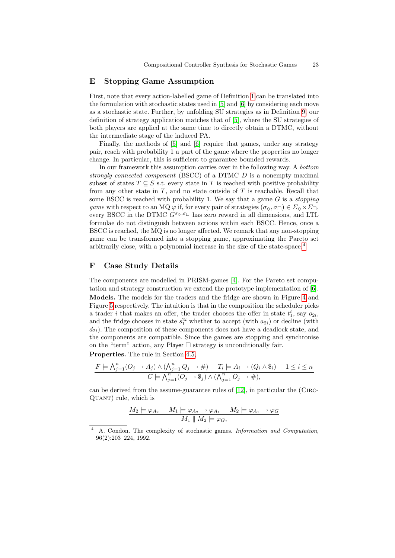### <span id="page-23-0"></span>E Stopping Game Assumption

First, note that every action-labelled game of Definition [1](#page-3-1) can be translated into the formulation with stochastic states used in [\[5\]](#page-15-12) and [\[6\]](#page-15-2) by considering each move as a stochastic state. Further, by unfolding SU strategies as in Definition [9,](#page-16-3) our definition of strategy application matches that of [\[5\]](#page-15-12), where the SU strategies of both players are applied at the same time to directly obtain a DTMC, without the intermediate stage of the induced PA.

Finally, the methods of [\[5\]](#page-15-12) and [\[6\]](#page-15-2) require that games, under any strategy pair, reach with probability 1 a part of the game where the properties no longer change. In particular, this is sufficient to guarantee bounded rewards.

In our framework this assumption carries over in the following way. A bottom strongly connected component (BSCC) of a DTMC D is a nonempty maximal subset of states  $T \subseteq S$  s.t. every state in T is reached with positive probability from any other state in  $T$ , and no state outside of  $T$  is reachable. Recall that some BSCC is reached with probability 1. We say that a game  $G$  is a *stopping* game with respect to an MQ  $\varphi$  if, for every pair of strategies  $(\sigma_{\Diamond}, \sigma_{\Box}) \in \Sigma_{\Diamond} \times \Sigma_{\Box}$ , every BSCC in the DTMC  $G^{\sigma_{\Diamond}, \sigma_{\Box}}$  has zero reward in all dimensions, and LTL formulae do not distinguish between actions within each BSCC. Hence, once a BSCC is reached, the MQ is no longer affected. We remark that any non-stopping game can be transformed into a stopping game, approximating the Pareto set arbitrarily close, with a polynomial increase in the size of the state-space.[4](#page-23-2)

#### <span id="page-23-1"></span>F Case Study Details

The components are modelled in PRISM-games [\[4\]](#page-15-17). For the Pareto set computation and strategy construction we extend the prototype implementation of [\[6\]](#page-15-2). Models. The models for the traders and the fridge are shown in Figure [4](#page-24-0) and Figure [5](#page-24-1) respectively. The intuition is that in the composition the scheduler picks a trader *i* that makes an offer, the trader chooses the offer in state  $t_1^i$ , say  $o_{2i}$ , and the fridge chooses in state  $s_1^{2i}$  whether to accept (with  $a_{2i}$ ) or decline (with  $d_{2i}$ ). The composition of these components does not have a deadlock state, and the components are compatible. Since the games are stopping and synchronise on the "term" action, any Player  $\Box$  strategy is unconditionally fair.

Properties. The rule in Section [4.5,](#page-13-6)

$$
\frac{F \models \bigwedge_{j=1}^{n} (O_j \rightarrow A_j) \land (\bigwedge_{j=1}^{n} Q_j \rightarrow \#) \quad T_i \models A_i \rightarrow (Q_i \land \$_i) \quad 1 \leq i \leq n}{C \models \bigwedge_{j=1}^{n} (O_j \rightarrow \$_j) \land (\bigwedge_{j=1}^{n} O_j \rightarrow \#),}
$$

can be derived from the assume-guarantee rules of [\[12\]](#page-15-8), in particular the (Circ-Quant) rule, which is

$$
\frac{M_2 \models \varphi_{A_2} \qquad M_1 \models \varphi_{A_2} \rightarrow \varphi_{A_1} \qquad M_2 \models \varphi_{A_1} \rightarrow \varphi_{G}}{M_1 \parallel M_2 \models \varphi_{G}},
$$

<span id="page-23-2"></span><sup>4</sup> A. Condon. The complexity of stochastic games. Information and Computation, 96(2):203–224, 1992.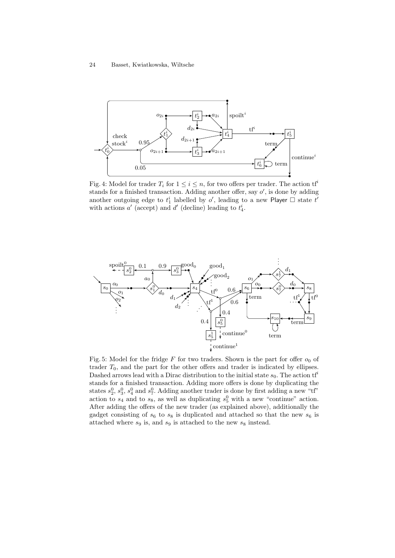

<span id="page-24-0"></span>Fig. 4: Model for trader  $T_i$  for  $1 \leq i \leq n$ , for two offers per trader. The action  $\mathsf{tf}^i$ stands for a finished transaction. Adding another offer, say  $o'$ , is done by adding another outgoing edge to  $t_1^i$  labelled by  $o'$ , leading to a new Player  $\Box$  state  $t'$ with actions  $a'$  (accept) and  $d'$  (decline) leading to  $t_4^i$ .



<span id="page-24-1"></span>Fig. 5: Model for the fridge F for two traders. Shown is the part for offer  $o_0$  of trader  $T_0$ , and the part for the other offers and trader is indicated by ellipses. Dashed arrows lead with a Dirac distribution to the initial state  $s_0$ . The action  $\mathbf{t}^{\mathbf{f}}$ stands for a finished transaction. Adding more offers is done by duplicating the states  $s_2^0$ ,  $s_3^0$ ,  $s_4^0$  and  $s_7^0$ . Adding another trader is done by first adding a new "tf" action to  $s_4$  and to  $s_8$ , as well as duplicating  $s_5^0$  with a new "continue" action. After adding the offers of the new trader (as explained above), additionally the gadget consisting of  $s_6$  to  $s_8$  is duplicated and attached so that the new  $s_6$  is attached where  $s_9$  is, and  $s_9$  is attached to the new  $s_8$  instead.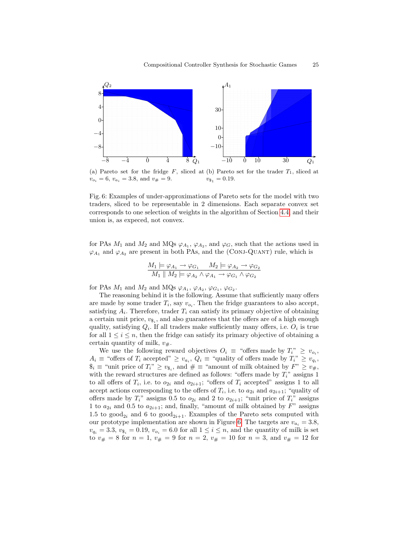

(a) Pareto set for the fridge  $F$ , sliced at (b) Pareto set for the trader  $T_1$ , sliced at  $v_{o_i} = 6$ ,  $v_{a_i} = 3.8$ , and  $v_{\#} = 9$ .  $v_{\$_1}=0.19.$ 

<span id="page-25-0"></span>Fig. 6: Examples of under-approximations of Pareto sets for the model with two traders, sliced to be representable in 2 dimensions. Each separate convex set corresponds to one selection of weights in the algorithm of Section [4.4,](#page-12-2) and their union is, as expeced, not convex.

for PAs  $M_1$  and  $M_2$  and MQs  $\varphi_{A_1}, \varphi_{A_2}$ , and  $\varphi_G$ , such that the actions used in  $\varphi_{A_1}$  and  $\varphi_{A_2}$  are present in both PAs, and the (CONJ-QUANT) rule, which is

$$
\frac{M_1 \models \varphi_{A_1} \to \varphi_{G_1} \qquad M_2 \models \varphi_{A_2} \to \varphi_{G_2}}{M_1 \parallel M_2 \models \varphi_{A_2} \land \varphi_{A_1} \to \varphi_{G_1} \land \varphi_{G_2}}
$$

for PAs  $M_1$  and  $M_2$  and MQs  $\varphi_{A_1}, \varphi_{A_2}, \varphi_{G_1}, \varphi_{G_2}$ .

The reasoning behind it is the following. Assume that sufficiently many offers are made by some trader  $T_i$ , say  $v_{o_i}$ . Then the fridge guarantees to also accept, satisfying  $A_i$ . Therefore, trader  $T_i$  can satisfy its primary objective of obtaining a certain unit price,  $v_{\mathsf{\$i}}$ , and also guarantees that the offers are of a high enough quality, satisfying  $Q_i$ . If all traders make sufficiently many offers, i.e.  $O_i$  is true for all  $1 \leq i \leq n$ , then the fridge can satisfy its primary objective of obtaining a certain quantity of milk,  $v_{\#}$ .

We use the following reward objectives  $O_i \equiv$  "offers made by  $T_i$ "  $\geq v_{o_i}$ ,  $A_i \equiv$  "offers of  $T_i$  accepted"  $\geq v_{a_i}, Q_i \equiv$  "quality of offers made by  $T_i$ "  $\geq v_{q_i},$  $\$_i \equiv \text{``unit price of } T_i" \geq v_{\$_i}, \text{ and } \# \equiv \text{``amount of milk obtained by } F" \geq v_{\#},$ with the reward structures are defined as follows: "offers made by  $T_i$ " assigns 1 to all offers of  $T_i$ , i.e. to  $o_{2i}$  and  $o_{2i+1}$ ; "offers of  $T_i$  accepted" assigns 1 to all accept actions corresponding to the offers of  $T_i$ , i.e. to  $a_{2i}$  and  $a_{2i+1}$ ; "quality of offers made by  $T_i$ " assigns 0.5 to  $o_{2i}$  and 2 to  $o_{2i+1}$ ; "unit price of  $T_i$ " assigns 1 to  $a_{2i}$  and 0.5 to  $a_{2i+1}$ ; and, finally, "amount of milk obtained by  $F$ " assigns 1.5 to good<sub>2i</sub> and 6 to good<sub>2i+1</sub>. Examples of the Pareto sets computed with our prototype implementation are shown in Figure [6.](#page-25-0) The targets are  $v_{a_i} = 3.8$ ,  $v_{q_i} = 3.3, v_{s_i} = 0.19, v_{o_i} = 6.0$  for all  $1 \leq i \leq n$ , and the quantity of milk is set to  $v_{\#} = 8$  for  $n = 1$ ,  $v_{\#} = 9$  for  $n = 2$ ,  $v_{\#} = 10$  for  $n = 3$ , and  $v_{\#} = 12$  for